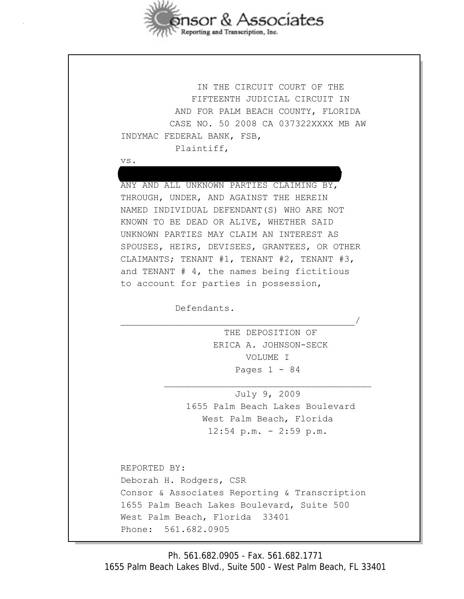

 IN THE CIRCUIT COURT OF THE FIFTEENTH JUDICIAL CIRCUIT IN AND FOR PALM BEACH COUNTY, FLORIDA CASE NO. 50 2008 CA 037322XXXX MB AW INDYMAC FEDERAL BANK, FSB, Plaintiff,

vs.

 ; ANY AND ALL UNKNOWN PARTIES CLAIMING BY, THROUGH, UNDER, AND AGAINST THE HEREIN NAMED INDIVIDUAL DEFENDANT(S) WHO ARE NOT KNOWN TO BE DEAD OR ALIVE, WHETHER SAID UNKNOWN PARTIES MAY CLAIM AN INTEREST AS SPOUSES, HEIRS, DEVISEES, GRANTEES, OR OTHER CLAIMANTS; TENANT #1, TENANT #2, TENANT #3, and TENANT # 4, the names being fictitious to account for parties in possession,

\_\_\_\_\_\_\_\_\_\_\_\_\_\_\_\_\_\_\_\_\_\_\_\_\_\_\_\_\_\_\_\_\_\_\_\_\_\_\_\_\_\_\_/

\_\_\_\_\_\_\_\_\_\_\_\_\_\_\_\_\_\_\_\_\_\_\_\_\_\_\_\_\_\_\_\_\_\_\_\_\_\_

Defendants.

 THE DEPOSITION OF ERICA A. JOHNSON-SECK VOLUME I Pages  $1 - 84$ 

 July 9, 2009 1655 Palm Beach Lakes Boulevard West Palm Beach, Florida 12:54 p.m. - 2:59 p.m.

 REPORTED BY: Deborah H. Rodgers, CSR Consor & Associates Reporting & Transcription 1655 Palm Beach Lakes Boulevard, Suite 500 West Palm Beach, Florida 33401 Phone: 561.682.0905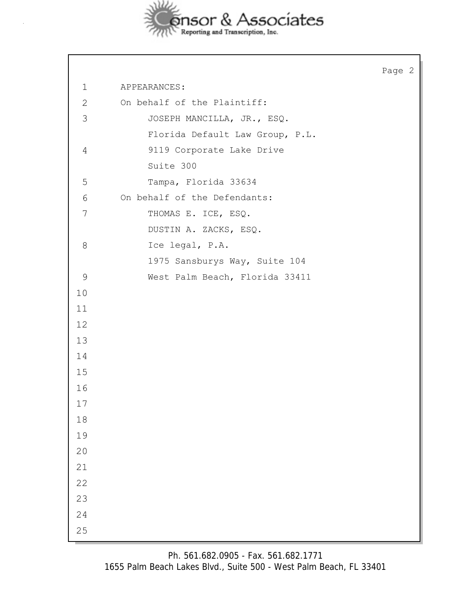

Page 2 1 APPEARANCES: 2 On behalf of the Plaintiff: 3 JOSEPH MANCILLA, JR., ESQ. Florida Default Law Group, P.L. 4 9119 Corporate Lake Drive Suite 300 5 Tampa, Florida 33634 6 On behalf of the Defendants: 7 THOMAS E. ICE, ESQ. DUSTIN A. ZACKS, ESQ. 8 Ice legal, P.A. 1975 Sansburys Way, Suite 104 9 West Palm Beach, Florida 33411 10 11 12 13 14 15 16 17 18 19 20 21 22 23 24 25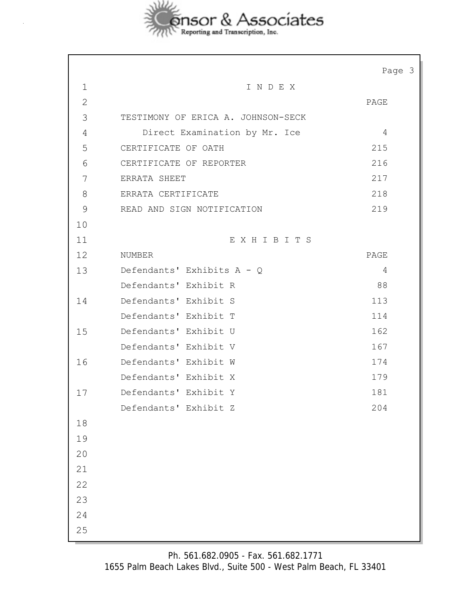

|              |                                    | Page 3 |
|--------------|------------------------------------|--------|
| $\mathbf 1$  | INDEX                              |        |
| $\mathbf{2}$ |                                    | PAGE   |
| 3            | TESTIMONY OF ERICA A. JOHNSON-SECK |        |
| 4            | Direct Examination by Mr. Ice      | 4      |
| 5            | CERTIFICATE OF OATH                | 215    |
| 6            | CERTIFICATE OF REPORTER            | 216    |
| 7            | ERRATA SHEET                       | 217    |
| 8            | ERRATA CERTIFICATE                 | 218    |
| 9            | READ AND SIGN NOTIFICATION         | 219    |
| 10           |                                    |        |
| 11           | EXHIBITS                           |        |
| 12           | NUMBER                             | PAGE   |
| 13           | Defendants' Exhibits A - Q         | 4      |
|              | Defendants' Exhibit R              | 88     |
| 14           | Defendants' Exhibit S              | 113    |
|              | Defendants' Exhibit T              | 114    |
| 15           | Defendants' Exhibit U              | 162    |
|              | Defendants' Exhibit V              | 167    |
| 16           | Defendants' Exhibit W              | 174    |
|              | Defendants' Exhibit X              | 179    |
| 17           | Defendants' Exhibit Y              | 181    |
|              | Defendants' Exhibit Z              | 204    |
| 18           |                                    |        |
| 19           |                                    |        |
| 20           |                                    |        |
| 21           |                                    |        |
| 22           |                                    |        |
| 23           |                                    |        |
| 24           |                                    |        |
| 25           |                                    |        |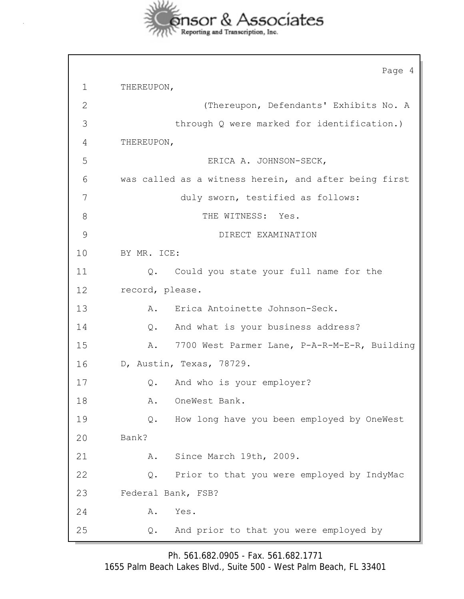

Page 4 1 THEREUPON, 2 (Thereupon, Defendants' Exhibits No. A 3 through Q were marked for identification.) 4 THEREUPON, 5 ERICA A. JOHNSON-SECK, 6 was called as a witness herein, and after being first 7 duly sworn, testified as follows: 8 THE WITNESS: Yes. 9 DIRECT EXAMINATION 10 BY MR. ICE: 11 Q. Could you state your full name for the 12 record, please. 13 A. Erica Antoinette Johnson-Seck. 14 Q. And what is your business address? 15 A. 7700 West Parmer Lane, P-A-R-M-E-R, Building 16 D, Austin, Texas, 78729. 17 Q. And who is your employer? 18 A. OneWest Bank. 19 Q. How long have you been employed by OneWest 20 Bank? 21 A. Since March 19th, 2009. 22 Q. Prior to that you were employed by IndyMac 23 Federal Bank, FSB? 24 A. Yes. 25 Q. And prior to that you were employed by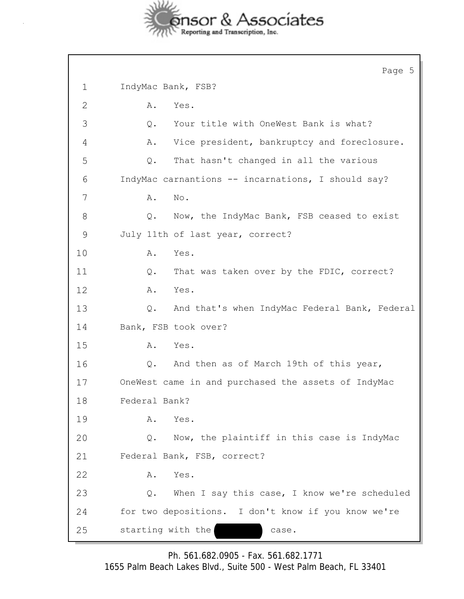

 $\overline{\phantom{a}}$ 

|              | Page 5                                              |
|--------------|-----------------------------------------------------|
| $\mathbf 1$  | IndyMac Bank, FSB?                                  |
| $\mathbf{2}$ | Α.<br>Yes.                                          |
| 3            | Your title with OneWest Bank is what?<br>Q.         |
| 4            | Vice president, bankruptcy and foreclosure.<br>Α.   |
| 5            | That hasn't changed in all the various<br>Q.        |
| 6            | IndyMac carnantions -- incarnations, I should say?  |
| 7            | No.<br>Α.                                           |
| 8            | Now, the IndyMac Bank, FSB ceased to exist<br>Q.    |
| 9            | July 11th of last year, correct?                    |
| 10           | Yes.<br>Α.                                          |
| 11           | That was taken over by the FDIC, correct?<br>Q.     |
| 12           | Yes.<br>A.                                          |
| 13           | And that's when IndyMac Federal Bank, Federal<br>Q. |
| 14           | Bank, FSB took over?                                |
| 15           | Yes.<br>Α.                                          |
| 16           | And then as of March 19th of this year,<br>Q.       |
| 17           | OneWest came in and purchased the assets of IndyMac |
| 18           | Federal Bank?                                       |
| 19           | Yes.<br>Α.                                          |
| 20           | Now, the plaintiff in this case is IndyMac<br>Q.    |
| 21           | Federal Bank, FSB, correct?                         |
| 22           | Α.<br>Yes.                                          |
| 23           | When I say this case, I know we're scheduled<br>Q.  |
| 24           | for two depositions. I don't know if you know we're |
| 25           | starting with the<br>case.                          |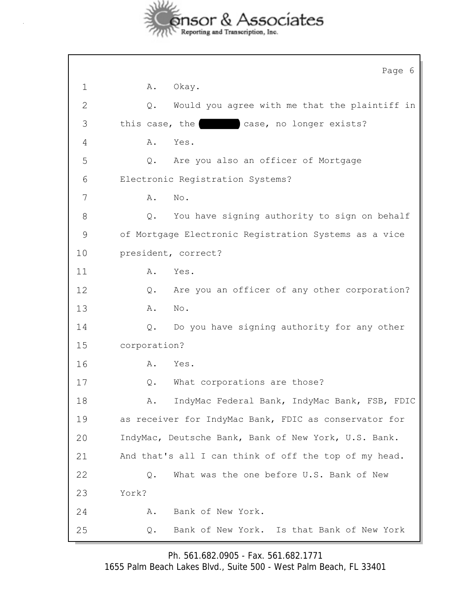

|               | Page 6                                                 |
|---------------|--------------------------------------------------------|
| $\mathbf 1$   | Okay.<br>Α.                                            |
| 2             | Would you agree with me that the plaintiff in<br>$Q$ . |
| 3             | this case, the<br>case, no longer exists?              |
| 4             | Α.<br>Yes.                                             |
| 5             | Q.<br>Are you also an officer of Mortgage              |
| 6             | Electronic Registration Systems?                       |
| 7             | No.<br>Α.                                              |
| 8             | You have signing authority to sign on behalf<br>Q.     |
| $\mathcal{G}$ | of Mortgage Electronic Registration Systems as a vice  |
| 10            | president, correct?                                    |
| 11            | Α.<br>Yes.                                             |
| 12            | Are you an officer of any other corporation?<br>$Q$ .  |
| 13            | No.<br>Α.                                              |
| 14            | Do you have signing authority for any other<br>Q.      |
| 15            | corporation?                                           |
| 16            | Yes.<br>Α.                                             |
| 17            | What corporations are those?<br>Q.                     |
| 18            | IndyMac Federal Bank, IndyMac Bank, FSB, FDIC<br>Α.    |
| 19            | as receiver for IndyMac Bank, FDIC as conservator for  |
| 20            | IndyMac, Deutsche Bank, Bank of New York, U.S. Bank.   |
| 21            | And that's all I can think of off the top of my head.  |
| 22            | What was the one before U.S. Bank of New<br>Q.         |
| 23            | York?                                                  |
| 24            | Bank of New York.<br>Α.                                |
| 25            | Bank of New York. Is that Bank of New York<br>Q.       |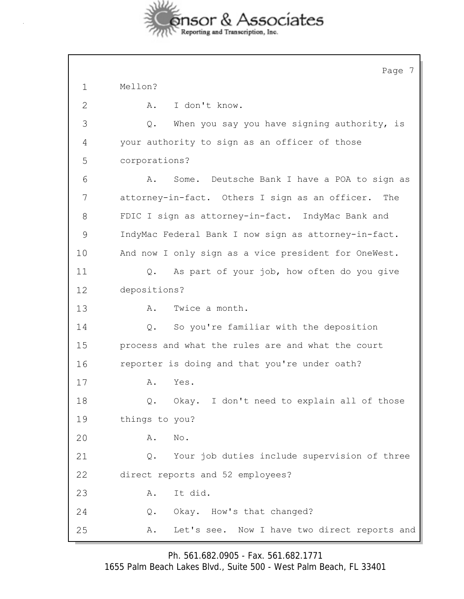

|               | Page 7                                                |
|---------------|-------------------------------------------------------|
| $\mathbf 1$   | Mellon?                                               |
| $\mathbf{2}$  | I don't know.<br>Α.                                   |
| 3             | When you say you have signing authority, is<br>$Q$ .  |
| 4             | your authority to sign as an officer of those         |
| 5             | corporations?                                         |
| 6             | Some. Deutsche Bank I have a POA to sign as<br>Α.     |
| 7             | attorney-in-fact. Others I sign as an officer.<br>The |
| 8             | FDIC I sign as attorney-in-fact. IndyMac Bank and     |
| $\mathcal{G}$ | IndyMac Federal Bank I now sign as attorney-in-fact.  |
| 10            | And now I only sign as a vice president for OneWest.  |
| 11            | As part of your job, how often do you give<br>Q.      |
| 12            | depositions?                                          |
| 13            | Α.<br>Twice a month.                                  |
| 14            | So you're familiar with the deposition<br>Q.          |
| 15            | process and what the rules are and what the court     |
| 16            | reporter is doing and that you're under oath?         |
| 17            | Α.<br>Yes.                                            |
| 18            | Okay. I don't need to explain all of those<br>Q.      |
| 19            | things to you?                                        |
| 20            | No.<br>Α.                                             |
| 21            | Your job duties include supervision of three<br>Q.    |
| 22            | direct reports and 52 employees?                      |
| 23            | It did.<br>Α.                                         |
| 24            | Okay. How's that changed?<br>Q.                       |
| 25            | Let's see. Now I have two direct reports and<br>Α.    |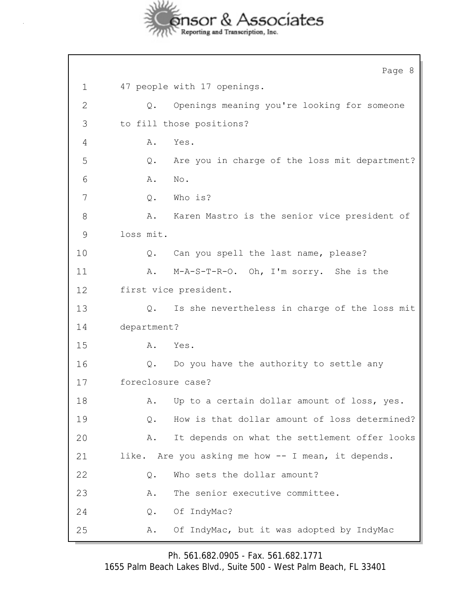

Page 8 1 47 people with 17 openings. 2 Q. Openings meaning you're looking for someone 3 to fill those positions? 4 A. Yes. 5 Q. Are you in charge of the loss mit department? 6 **A.** No. 7 Q. Who is? 8 A. Karen Mastro is the senior vice president of 9 loss mit. 10 Q. Can you spell the last name, please? 11 A. M-A-S-T-R-O. Oh, I'm sorry. She is the 12 first vice president. 13 Q. Is she nevertheless in charge of the loss mit 14 department? 15 A. Yes. 16 Q. Do you have the authority to settle any 17 foreclosure case? 18 A. Up to a certain dollar amount of loss, yes. 19 Q. How is that dollar amount of loss determined? 20 A. It depends on what the settlement offer looks 21 like. Are you asking me how -- I mean, it depends. 22 Q. Who sets the dollar amount? 23 A. The senior executive committee. 24 Q. Of IndyMac? 25 A. Of IndyMac, but it was adopted by IndyMac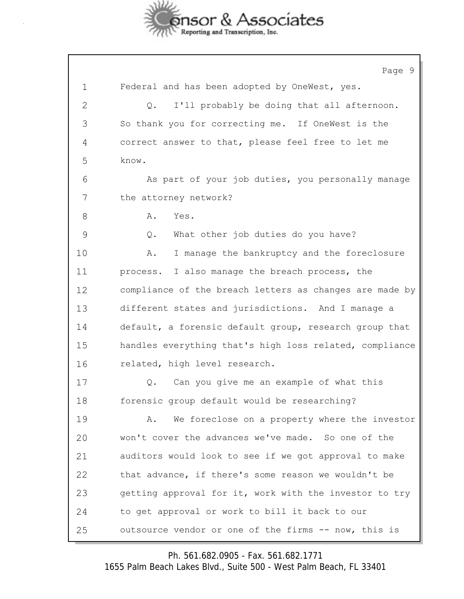

Page 9 1 Federal and has been adopted by OneWest, yes. 2 Q. I'll probably be doing that all afternoon. 3 So thank you for correcting me. If OneWest is the 4 correct answer to that, please feel free to let me 5 know. 6 As part of your job duties, you personally manage 7 the attorney network? 8 A. Yes. 9 Q. What other job duties do you have? 10 A. I manage the bankruptcy and the foreclosure 11 process. I also manage the breach process, the 12 compliance of the breach letters as changes are made by 13 different states and jurisdictions. And I manage a 14 default, a forensic default group, research group that 15 handles everything that's high loss related, compliance 16 related, high level research. 17 Q. Can you give me an example of what this 18 forensic group default would be researching? 19 A. We foreclose on a property where the investor 20 won't cover the advances we've made. So one of the 21 auditors would look to see if we got approval to make 22 that advance, if there's some reason we wouldn't be 23 getting approval for it, work with the investor to try 24 to get approval or work to bill it back to our 25 outsource vendor or one of the firms -- now, this is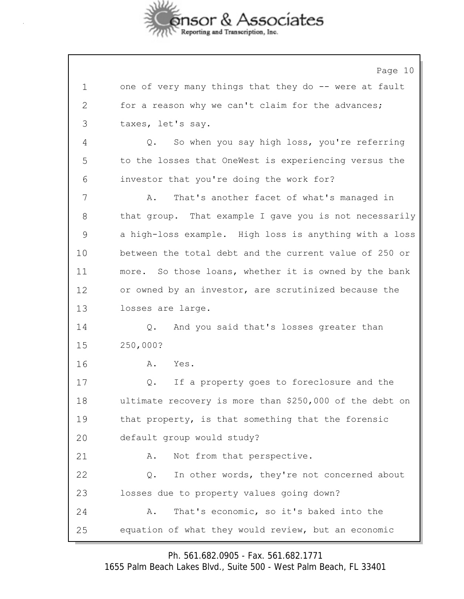

Page 10 1 one of very many things that they do -- were at fault 2 for a reason why we can't claim for the advances; 3 taxes, let's say. 4 Q. So when you say high loss, you're referring 5 to the losses that OneWest is experiencing versus the 6 investor that you're doing the work for? 7 A. That's another facet of what's managed in 8 that group. That example I gave you is not necessarily 9 a high-loss example. High loss is anything with a loss 10 between the total debt and the current value of 250 or 11 more. So those loans, whether it is owned by the bank 12 or owned by an investor, are scrutinized because the 13 losses are large. 14 Q. And you said that's losses greater than 15 250,000? 16 A. Yes. 17 Q. If a property goes to foreclosure and the 18 ultimate recovery is more than \$250,000 of the debt on 19 that property, is that something that the forensic 20 default group would study? 21 A. Not from that perspective. 22 Q. In other words, they're not concerned about 23 losses due to property values going down? 24 A. That's economic, so it's baked into the 25 equation of what they would review, but an economic

Ph. 561.682.0905 - Fax. 561.682.1771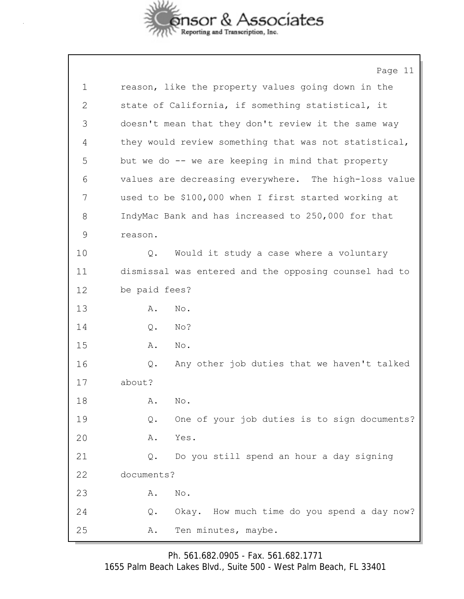

|    | Page 11                                                       |
|----|---------------------------------------------------------------|
| 1  | reason, like the property values going down in the            |
| 2  | state of California, if something statistical, it             |
| 3  | doesn't mean that they don't review it the same way           |
| 4  | they would review something that was not statistical,         |
| 5  | but we do -- we are keeping in mind that property             |
| 6  | values are decreasing everywhere. The high-loss value         |
| 7  | used to be \$100,000 when I first started working at          |
| 8  | IndyMac Bank and has increased to 250,000 for that            |
| 9  | reason.                                                       |
| 10 | Would it study a case where a voluntary<br>Q.                 |
| 11 | dismissal was entered and the opposing counsel had to         |
| 12 | be paid fees?                                                 |
| 13 | No.<br>Α.                                                     |
| 14 | No?<br>Q.                                                     |
| 15 | No.<br>Α.                                                     |
| 16 | Any other job duties that we haven't talked<br>Q.             |
| 17 | about?                                                        |
| 18 | Α.<br>No.                                                     |
| 19 | One of your job duties is to sign documents?<br>Q.            |
| 20 | Yes.<br>Α.                                                    |
| 21 | Do you still spend an hour a day signing<br>$\mathsf{Q}$ .    |
| 22 | documents?                                                    |
| 23 | $\mathop{\rm No}\nolimits$ .<br>Α.                            |
| 24 | Okay. How much time do you spend a day now?<br>$\mathsf{Q}$ . |
| 25 | Ten minutes, maybe.<br>Α.                                     |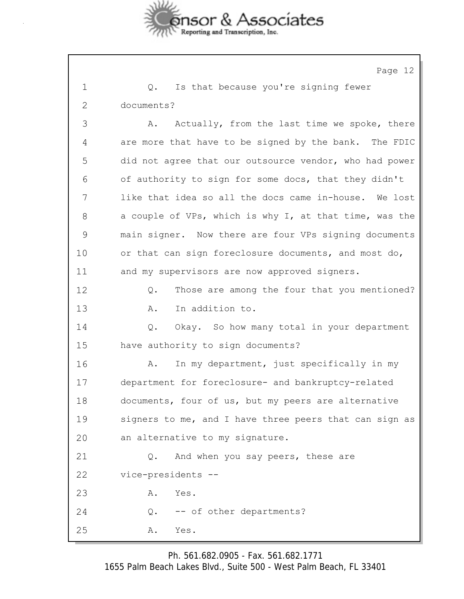

Page 12

| 1            | Is that because you're signing fewer<br>Q.             |
|--------------|--------------------------------------------------------|
| $\mathbf{2}$ | documents?                                             |
| 3            | Actually, from the last time we spoke, there<br>Α.     |
| 4            | are more that have to be signed by the bank. The FDIC  |
| 5            | did not agree that our outsource vendor, who had power |
| 6            | of authority to sign for some docs, that they didn't   |
| 7            | like that idea so all the docs came in-house. We lost  |
| 8            | a couple of VPs, which is why I, at that time, was the |
| 9            | main signer. Now there are four VPs signing documents  |
| 10           | or that can sign foreclosure documents, and most do,   |
| 11           | and my supervisors are now approved signers.           |
| 12           | Those are among the four that you mentioned?<br>Q.     |
| 13           | In addition to.<br>Α.                                  |
| 14           | Okay. So how many total in your department<br>Q.       |
| 15           | have authority to sign documents?                      |
| 16           | In my department, just specifically in my<br>Α.        |
| 17           | department for foreclosure- and bankruptcy-related     |
| 18           | documents, four of us, but my peers are alternative    |
| 19           | signers to me, and I have three peers that can sign as |
| 20           | an alternative to my signature.                        |
| 21           | And when you say peers, these are<br>Q.                |
| 22           | vice-presidents --                                     |
| 23           | Yes.<br>Α.                                             |
| 24           | -- of other departments?<br>Q.                         |
| 25           | Yes.<br>Α.                                             |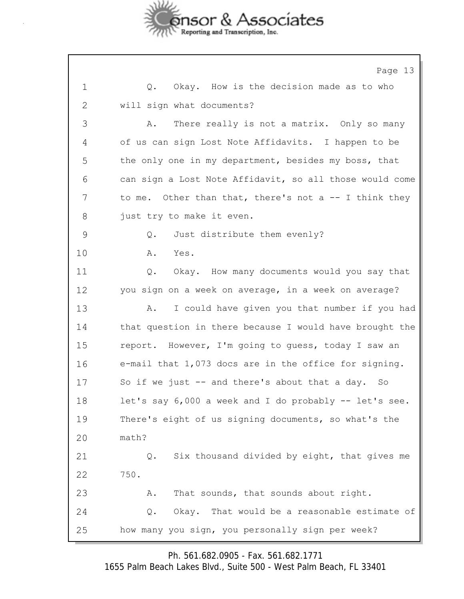

Page 13 1 Q. Okay. How is the decision made as to who 2 will sign what documents? 3 A. There really is not a matrix. Only so many 4 of us can sign Lost Note Affidavits. I happen to be 5 the only one in my department, besides my boss, that 6 can sign a Lost Note Affidavit, so all those would come 7 to me. Other than that, there's not a -- I think they 8 just try to make it even. 9 Q. Just distribute them evenly? 10 A. Yes. 11 Q. Okay. How many documents would you say that 12 you sign on a week on average, in a week on average? 13 A. I could have given you that number if you had 14 that question in there because I would have brought the 15 report. However, I'm going to guess, today I saw an 16 e-mail that 1,073 docs are in the office for signing. 17 So if we just -- and there's about that a day. So 18 let's say 6,000 a week and I do probably -- let's see. 19 There's eight of us signing documents, so what's the 20 math? 21 Q. Six thousand divided by eight, that gives me 22 750. 23 A. That sounds, that sounds about right. 24 Q. Okay. That would be a reasonable estimate of 25 how many you sign, you personally sign per week?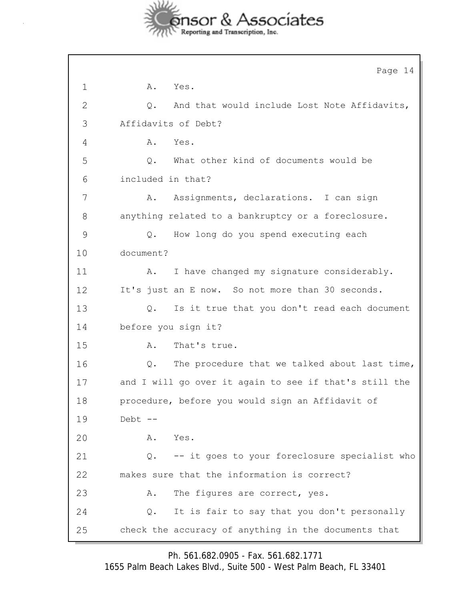

|               | Page 14                                                |
|---------------|--------------------------------------------------------|
| $\mathbf 1$   | A.<br>Yes.                                             |
| 2             | And that would include Lost Note Affidavits,<br>Q.     |
| 3             | Affidavits of Debt?                                    |
| 4             | Yes.<br>Α.                                             |
| 5             | Q.<br>What other kind of documents would be            |
| 6             | included in that?                                      |
| 7             | Assignments, declarations. I can sign<br>Α.            |
| 8             | anything related to a bankruptcy or a foreclosure.     |
| $\mathcal{G}$ | How long do you spend executing each<br>Q.             |
| 10            | document?                                              |
| 11            | I have changed my signature considerably.<br>Α.        |
| 12            | It's just an E now. So not more than 30 seconds.       |
| 13            | Is it true that you don't read each document<br>Q.     |
| 14            | before you sign it?                                    |
| 15            | That's true.<br>Α.                                     |
| 16            | The procedure that we talked about last time,<br>Q.    |
| 17            | and I will go over it again to see if that's still the |
| 18            | procedure, before you would sign an Affidavit of       |
| 19            | Debt --                                                |
| 20            | Yes.<br>Α.                                             |
| 21            | -- it goes to your foreclosure specialist who<br>Q.    |
| 22            | makes sure that the information is correct?            |
| 23            | The figures are correct, yes.<br>Α.                    |
| 24            | It is fair to say that you don't personally<br>Q.      |
| 25            | check the accuracy of anything in the documents that   |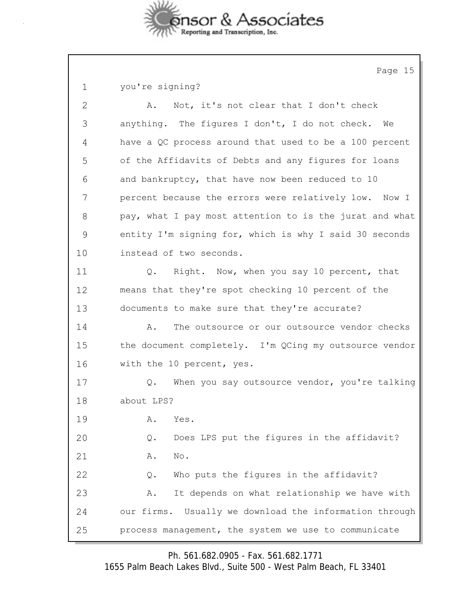

Page 15

| you're signing? |  |
|-----------------|--|
|-----------------|--|

| $\mathbf{2}$ | Not, it's not clear that I don't check<br>Α.              |
|--------------|-----------------------------------------------------------|
| 3            | anything. The figures I don't, I do not check. We         |
| 4            | have a QC process around that used to be a 100 percent    |
| 5            | of the Affidavits of Debts and any figures for loans      |
| 6            | and bankruptcy, that have now been reduced to 10          |
| 7            | percent because the errors were relatively low. Now I     |
| 8            | pay, what I pay most attention to is the jurat and what   |
| 9            | entity I'm signing for, which is why I said 30 seconds    |
| 10           | instead of two seconds.                                   |
| 11           | Q. Right. Now, when you say 10 percent, that              |
| 12           | means that they're spot checking 10 percent of the        |
| 13           | documents to make sure that they're accurate?             |
| 14           | The outsource or our outsource vendor checks<br>Α.        |
| 15           | the document completely. I'm QCing my outsource vendor    |
| 16           | with the 10 percent, yes.                                 |
| 17           | When you say outsource vendor, you're talking<br>Q.       |
| 18           | about LPS?                                                |
| 19           | Yes.<br>Α.                                                |
| 20           | Does LPS put the figures in the affidavit?<br>Q.          |
| 21           | No.<br>Α.                                                 |
| 22           | Who puts the figures in the affidavit?<br>Q.              |
| 23           | It depends on what relationship we have with<br>Α.        |
| 24           | Usually we download the information through<br>our firms. |
| 25           | process management, the system we use to communicate      |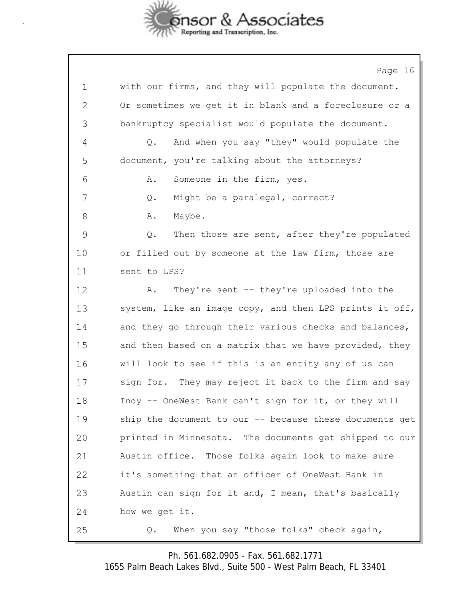

Page 16 1 with our firms, and they will populate the document. 2 Or sometimes we get it in blank and a foreclosure or a 3 bankruptcy specialist would populate the document. 4 Q. And when you say "they" would populate the 5 document, you're talking about the attorneys? 6 A. Someone in the firm, yes. 7 Q. Might be a paralegal, correct? 8 A. Maybe. 9 Q. Then those are sent, after they're populated 10 or filled out by someone at the law firm, those are 11 sent to LPS? 12 A. They're sent -- they're uploaded into the 13 system, like an image copy, and then LPS prints it off, 14 and they go through their various checks and balances, 15 and then based on a matrix that we have provided, they 16 will look to see if this is an entity any of us can 17 sign for. They may reject it back to the firm and say 18 Indy -- OneWest Bank can't sign for it, or they will 19 ship the document to our -- because these documents get 20 printed in Minnesota. The documents get shipped to our 21 Austin office. Those folks again look to make sure 22 it's something that an officer of OneWest Bank in 23 Austin can sign for it and, I mean, that's basically 24 how we get it. 25 Q. When you say "those folks" check again,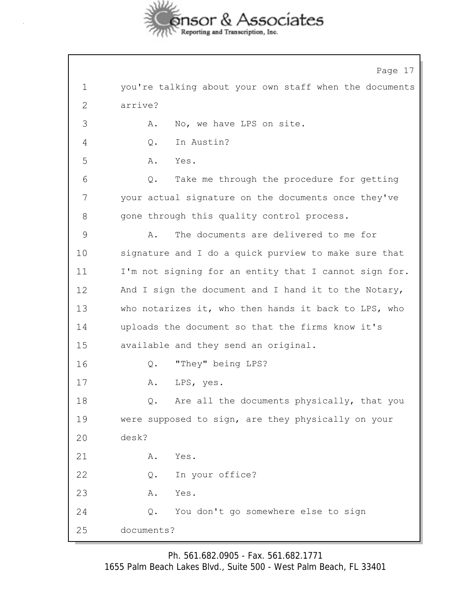

Page 17 1 you're talking about your own staff when the documents 2 arrive? 3 A. No, we have LPS on site. 4 Q. In Austin? 5 A. Yes. 6 Q. Take me through the procedure for getting 7 your actual signature on the documents once they've 8 gone through this quality control process. 9 A. The documents are delivered to me for 10 signature and I do a quick purview to make sure that 11 I'm not signing for an entity that I cannot sign for. 12 And I sign the document and I hand it to the Notary, 13 who notarizes it, who then hands it back to LPS, who 14 uploads the document so that the firms know it's 15 available and they send an original. 16 Q. "They" being LPS? 17 A. LPS, yes. 18 Q. Are all the documents physically, that you 19 were supposed to sign, are they physically on your 20 desk? 21 A. Yes. 22 Q. In your office? 23 A. Yes. 24 Q. You don't go somewhere else to sign 25 documents?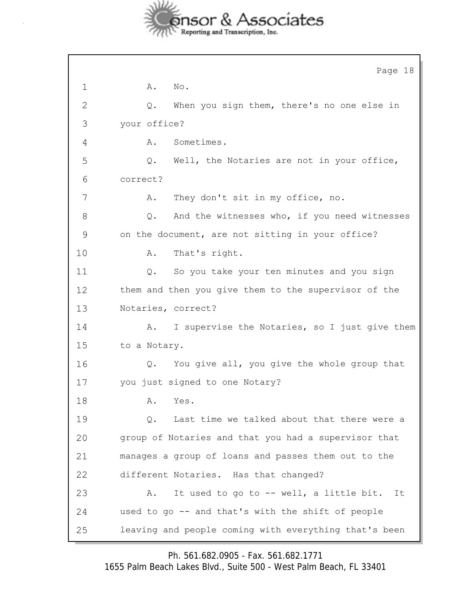

|    | Page 18                                               |
|----|-------------------------------------------------------|
| 1  | No.<br>Α.                                             |
| 2  | When you sign them, there's no one else in<br>Q.      |
| 3  | your office?                                          |
| 4  | Sometimes.<br>Α.                                      |
| 5  | Well, the Notaries are not in your office,<br>Q.      |
| 6  | correct?                                              |
| 7  | They don't sit in my office, no.<br>Α.                |
| 8  | And the witnesses who, if you need witnesses<br>Q.    |
| 9  | on the document, are not sitting in your office?      |
| 10 | That's right.<br>Α.                                   |
| 11 | So you take your ten minutes and you sign<br>Q.       |
| 12 | them and then you give them to the supervisor of the  |
| 13 | Notaries, correct?                                    |
| 14 | I supervise the Notaries, so I just give them<br>Α.   |
| 15 | to a Notary.                                          |
| 16 | You give all, you give the whole group that<br>Q.     |
| 17 | you just signed to one Notary?                        |
| 18 | Α.<br>Yes.                                            |
| 19 | Last time we talked about that there were a<br>$Q$ .  |
| 20 | group of Notaries and that you had a supervisor that  |
| 21 | manages a group of loans and passes them out to the   |
| 22 | different Notaries. Has that changed?                 |
| 23 | It used to go to -- well, a little bit.<br>Α.<br>It   |
| 24 | used to go -- and that's with the shift of people     |
| 25 | leaving and people coming with everything that's been |

Ph. 561.682.0905 - Fax. 561.682.1771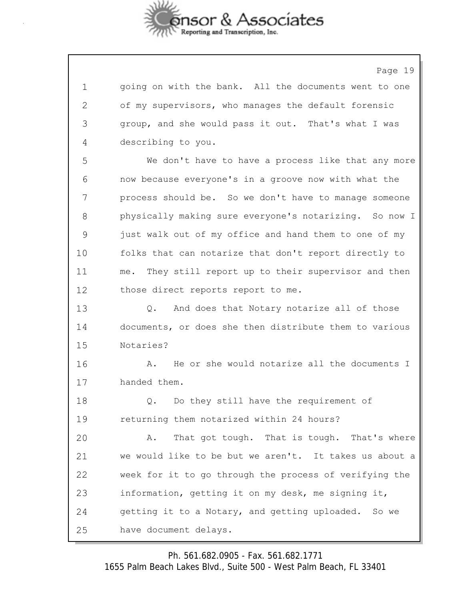

Page 19

1 going on with the bank. All the documents went to one 2 of my supervisors, who manages the default forensic 3 group, and she would pass it out. That's what I was 4 describing to you. 5 We don't have to have a process like that any more 6 now because everyone's in a groove now with what the 7 process should be. So we don't have to manage someone 8 physically making sure everyone's notarizing. So now I 9 just walk out of my office and hand them to one of my 10 folks that can notarize that don't report directly to 11 me. They still report up to their supervisor and then 12 those direct reports report to me. 13 0. And does that Notary notarize all of those 14 documents, or does she then distribute them to various 15 Notaries?

16 A. He or she would notarize all the documents I 17 handed them.

18 0. Do they still have the requirement of 19 returning them notarized within 24 hours?

20 A. That got tough. That is tough. That's where 21 we would like to be but we aren't. It takes us about a 22 week for it to go through the process of verifying the 23 information, getting it on my desk, me signing it, 24 getting it to a Notary, and getting uploaded. So we 25 have document delays.

Ph. 561.682.0905 - Fax. 561.682.1771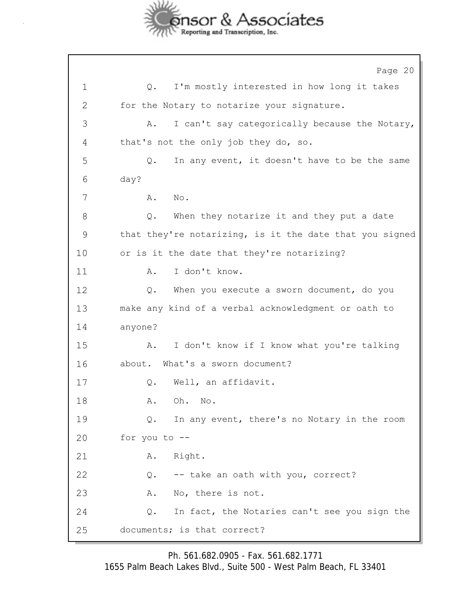

Page 20 1 Q. I'm mostly interested in how long it takes 2 for the Notary to notarize your signature. 3 A. I can't say categorically because the Notary, 4 that's not the only job they do, so. 5 Q. In any event, it doesn't have to be the same 6 day? 7 A. No. 8 Q. When they notarize it and they put a date 9 that they're notarizing, is it the date that you signed 10 or is it the date that they're notarizing? 11 A. I don't know. 12 Q. When you execute a sworn document, do you 13 make any kind of a verbal acknowledgment or oath to 14 anyone? 15 A. I don't know if I know what you're talking 16 about. What's a sworn document? 17 Q. Well, an affidavit. 18 A. Oh. No. 19 Q. In any event, there's no Notary in the room 20 for you to -- 21 A. Right. 22 Q. -- take an oath with you, correct? 23 A. No, there is not. 24 Q. In fact, the Notaries can't see you sign the 25 documents; is that correct?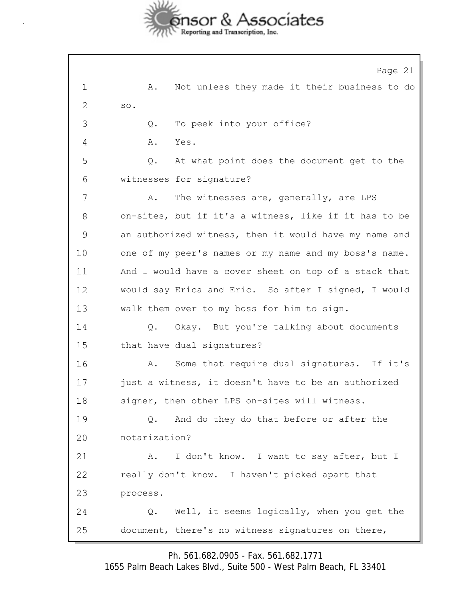

Page 21 1 A. Not unless they made it their business to do 2 so. 3 Q. To peek into your office? 4 A. Yes. 5 Q. At what point does the document get to the 6 witnesses for signature? 7 A. The witnesses are, generally, are LPS 8 on-sites, but if it's a witness, like if it has to be 9 an authorized witness, then it would have my name and 10 one of my peer's names or my name and my boss's name. 11 And I would have a cover sheet on top of a stack that 12 would say Erica and Eric. So after I signed, I would 13 walk them over to my boss for him to sign. 14 Q. Okay. But you're talking about documents 15 that have dual signatures? 16 A. Some that require dual signatures. If it's 17 just a witness, it doesn't have to be an authorized 18 signer, then other LPS on-sites will witness. 19 Q. And do they do that before or after the 20 notarization? 21 A. I don't know. I want to say after, but I 22 really don't know. I haven't picked apart that 23 process. 24 Q. Well, it seems logically, when you get the 25 document, there's no witness signatures on there,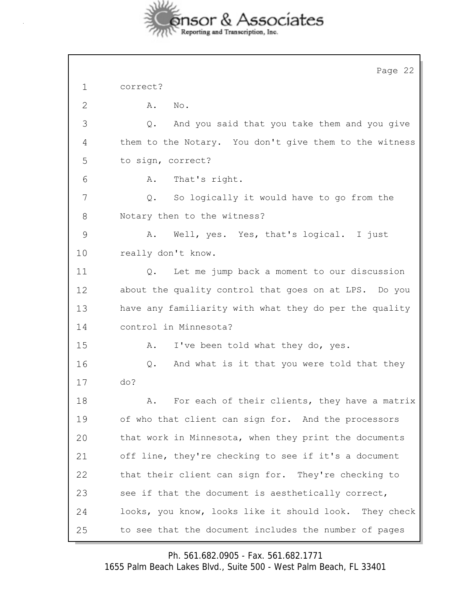

|               | Page 22                                                |
|---------------|--------------------------------------------------------|
| 1             | correct?                                               |
| 2             | No.<br>Α.                                              |
| 3             | And you said that you take them and you give<br>Q.     |
| 4             | them to the Notary. You don't give them to the witness |
| 5             | to sign, correct?                                      |
| 6             | That's right.<br>Α.                                    |
| 7             | Q.<br>So logically it would have to go from the        |
| 8             | Notary then to the witness?                            |
| $\mathcal{G}$ | Well, yes. Yes, that's logical. I just<br>Α.           |
| 10            | really don't know.                                     |
| 11            | Let me jump back a moment to our discussion<br>Q.      |
| 12            | about the quality control that goes on at LPS. Do you  |
| 13            | have any familiarity with what they do per the quality |
| 14            | control in Minnesota?                                  |
| 15            | I've been told what they do, yes.<br>Α.                |
| 16            | And what is it that you were told that they<br>Q.      |
| 17            | do?                                                    |
| 18            | For each of their clients, they have a matrix<br>Α.    |
| 19            | of who that client can sign for. And the processors    |
| 20            | that work in Minnesota, when they print the documents  |
| 21            | off line, they're checking to see if it's a document   |
| 22            | that their client can sign for. They're checking to    |
| 23            | see if that the document is aesthetically correct,     |
| 24            | looks, you know, looks like it should look. They check |
| 25            | to see that the document includes the number of pages  |

Ph. 561.682.0905 - Fax. 561.682.1771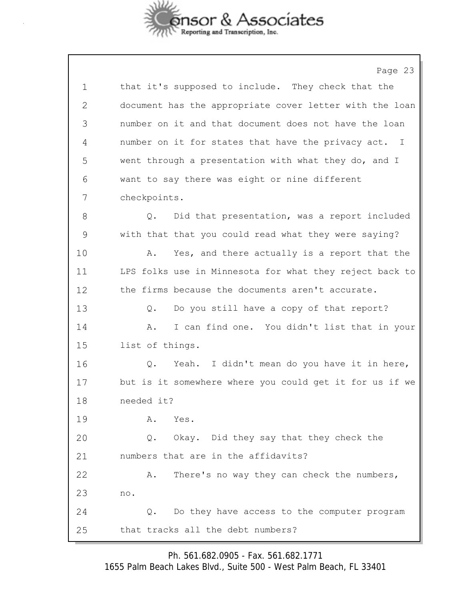

Page 23 1 that it's supposed to include. They check that the 2 document has the appropriate cover letter with the loan 3 number on it and that document does not have the loan 4 number on it for states that have the privacy act. I 5 went through a presentation with what they do, and I 6 want to say there was eight or nine different 7 checkpoints. 8 Q. Did that presentation, was a report included 9 with that that you could read what they were saying? 10 A. Yes, and there actually is a report that the 11 LPS folks use in Minnesota for what they reject back to 12 the firms because the documents aren't accurate. 13 Q. Do you still have a copy of that report? 14 A. I can find one. You didn't list that in your 15 list of things. 16 Q. Yeah. I didn't mean do you have it in here, 17 but is it somewhere where you could get it for us if we 18 needed it? 19 A. Yes. 20 Q. Okay. Did they say that they check the 21 numbers that are in the affidavits? 22 A. There's no way they can check the numbers, 23 no. 24 Q. Do they have access to the computer program 25 that tracks all the debt numbers?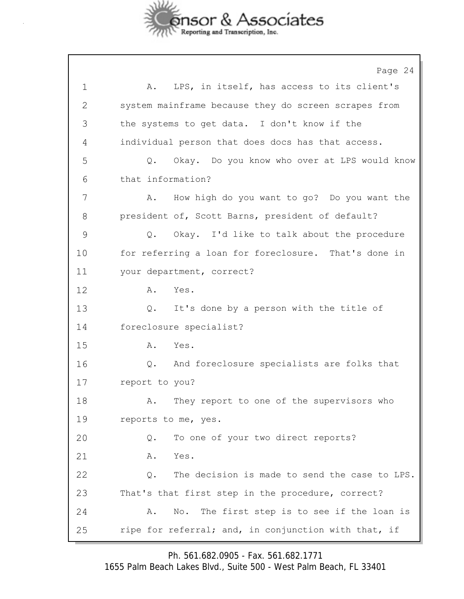

Page 24 1 A. LPS, in itself, has access to its client's 2 system mainframe because they do screen scrapes from 3 the systems to get data. I don't know if the 4 individual person that does docs has that access. 5 Q. Okay. Do you know who over at LPS would know 6 that information? 7 A. How high do you want to go? Do you want the 8 president of, Scott Barns, president of default? 9 Q. Okay. I'd like to talk about the procedure 10 for referring a loan for foreclosure. That's done in 11 your department, correct? 12 A. Yes. 13 Q. It's done by a person with the title of 14 foreclosure specialist? 15 A. Yes. 16 Q. And foreclosure specialists are folks that 17 report to you? 18 A. They report to one of the supervisors who 19 reports to me, yes. 20 Q. To one of your two direct reports? 21 A. Yes. 22 Q. The decision is made to send the case to LPS. 23 That's that first step in the procedure, correct? 24 A. No. The first step is to see if the loan is 25 ripe for referral; and, in conjunction with that, if

Ph. 561.682.0905 - Fax. 561.682.1771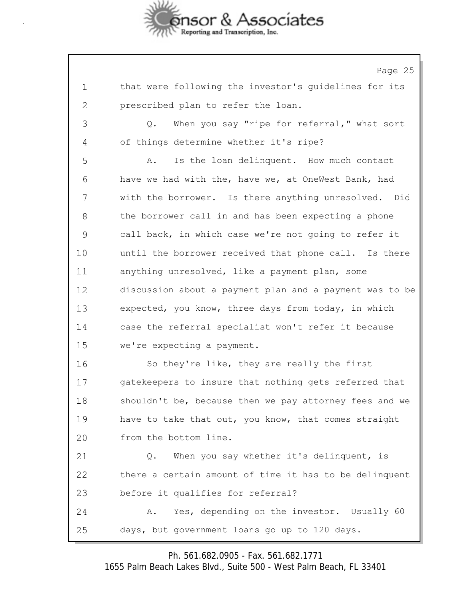

Page 25 1 that were following the investor's guidelines for its 2 prescribed plan to refer the loan. 3 Q. When you say "ripe for referral," what sort 4 of things determine whether it's ripe? 5 A. Is the loan delinquent. How much contact 6 have we had with the, have we, at OneWest Bank, had 7 with the borrower. Is there anything unresolved. Did 8 the borrower call in and has been expecting a phone 9 call back, in which case we're not going to refer it 10 until the borrower received that phone call. Is there 11 anything unresolved, like a payment plan, some 12 discussion about a payment plan and a payment was to be 13 expected, you know, three days from today, in which 14 case the referral specialist won't refer it because 15 we're expecting a payment. 16 So they're like, they are really the first 17 gatekeepers to insure that nothing gets referred that 18 shouldn't be, because then we pay attorney fees and we 19 have to take that out, you know, that comes straight 20 from the bottom line. 21 Q. When you say whether it's delinquent, is 22 there a certain amount of time it has to be delinquent 23 before it qualifies for referral? 24 A. Yes, depending on the investor. Usually 60 25 days, but government loans go up to 120 days.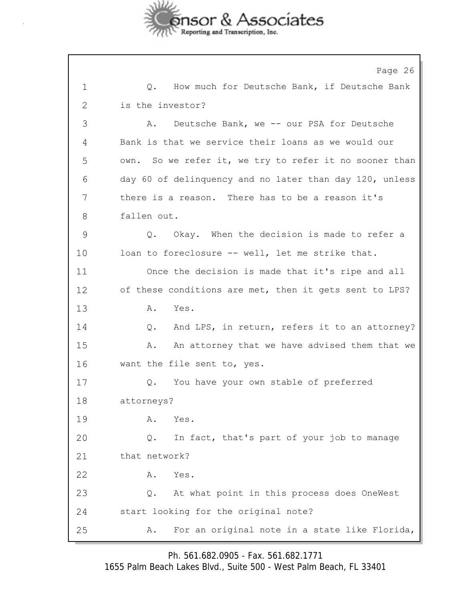

Page 26 1 Q. How much for Deutsche Bank, if Deutsche Bank 2 is the investor? 3 A. Deutsche Bank, we -- our PSA for Deutsche 4 Bank is that we service their loans as we would our 5 own. So we refer it, we try to refer it no sooner than 6 day 60 of delinquency and no later than day 120, unless 7 there is a reason. There has to be a reason it's 8 fallen out. 9 Q. Okay. When the decision is made to refer a 10 loan to foreclosure -- well, let me strike that. 11 Once the decision is made that it's ripe and all 12 of these conditions are met, then it gets sent to LPS? 13 A. Yes. 14 Q. And LPS, in return, refers it to an attorney? 15 A. An attorney that we have advised them that we 16 want the file sent to, yes. 17 Q. You have your own stable of preferred 18 attorneys? 19 A. Yes. 20 Q. In fact, that's part of your job to manage 21 that network? 22 A. Yes. 23 Q. At what point in this process does OneWest 24 start looking for the original note? 25 A. For an original note in a state like Florida,

Ph. 561.682.0905 - Fax. 561.682.1771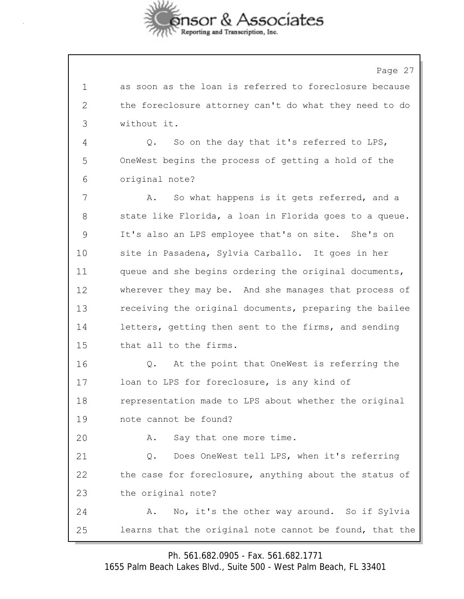

Page 27 1 as soon as the loan is referred to foreclosure because 2 the foreclosure attorney can't do what they need to do 3 without it. 4 Q. So on the day that it's referred to LPS, 5 OneWest begins the process of getting a hold of the 6 original note? 7 A. So what happens is it gets referred, and a 8 state like Florida, a loan in Florida goes to a queue. 9 It's also an LPS employee that's on site. She's on 10 site in Pasadena, Sylvia Carballo. It goes in her 11 queue and she begins ordering the original documents, 12 wherever they may be. And she manages that process of 13 receiving the original documents, preparing the bailee 14 letters, getting then sent to the firms, and sending 15 that all to the firms. 16 Q. At the point that OneWest is referring the 17 loan to LPS for foreclosure, is any kind of 18 representation made to LPS about whether the original 19 note cannot be found? 20 A. Say that one more time. 21 Q. Does OneWest tell LPS, when it's referring 22 the case for foreclosure, anything about the status of 23 the original note? 24 A. No, it's the other way around. So if Sylvia 25 learns that the original note cannot be found, that the

Ph. 561.682.0905 - Fax. 561.682.1771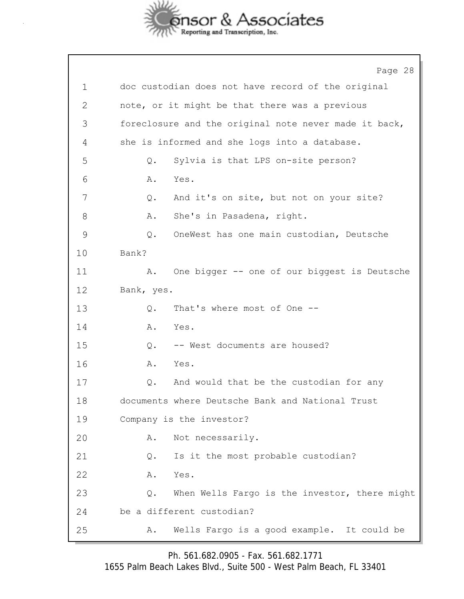

٦

|              | Page 28                                                |
|--------------|--------------------------------------------------------|
| $\mathbf 1$  | doc custodian does not have record of the original     |
| $\mathbf{2}$ | note, or it might be that there was a previous         |
| 3            | foreclosure and the original note never made it back,  |
| 4            | she is informed and she logs into a database.          |
| 5            | Sylvia is that LPS on-site person?<br>Q.               |
| 6            | Yes.<br>Α.                                             |
| 7            | And it's on site, but not on your site?<br>Q.          |
| 8            | She's in Pasadena, right.<br>Α.                        |
| 9            | OneWest has one main custodian, Deutsche<br>Q.         |
| 10           | Bank?                                                  |
| 11           | One bigger -- one of our biggest is Deutsche<br>Α.     |
| 12           | Bank, yes.                                             |
| 13           | That's where most of One --<br>Q.                      |
| 14           | Yes.<br>Α.                                             |
| 15           | -- West documents are housed?<br>$Q$ .                 |
| 16           | Yes.<br>Α.                                             |
| 17           | And would that be the custodian for any<br>$Q$ .       |
| 18           | documents where Deutsche Bank and National Trust       |
| 19           | Company is the investor?                               |
| 20           | Not necessarily.<br>Α.                                 |
| 21           | Is it the most probable custodian?<br>Q.               |
| 22           | Yes.<br>Α.                                             |
| 23           | When Wells Fargo is the investor, there might<br>$Q$ . |
| 24           | be a different custodian?                              |
| 25           | Wells Fargo is a good example. It could be<br>Α.       |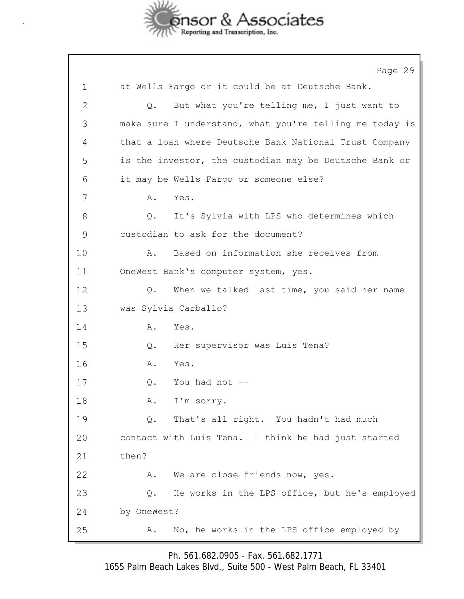

Page 29 1 at Wells Fargo or it could be at Deutsche Bank. 2 Q. But what you're telling me, I just want to 3 make sure I understand, what you're telling me today is 4 that a loan where Deutsche Bank National Trust Company 5 is the investor, the custodian may be Deutsche Bank or 6 it may be Wells Fargo or someone else? 7 A. Yes. 8 Q. It's Sylvia with LPS who determines which 9 custodian to ask for the document? 10 A. Based on information she receives from 11 OneWest Bank's computer system, yes. 12 Q. When we talked last time, you said her name 13 was Sylvia Carballo? 14 A. Yes. 15 Q. Her supervisor was Luis Tena? 16 A. Yes. 17 Q. You had not -- 18 A. I'm sorry. 19 Q. That's all right. You hadn't had much 20 contact with Luis Tena. I think he had just started 21 then? 22 A. We are close friends now, yes. 23 Q. He works in the LPS office, but he's employed 24 by OneWest? 25 A. No, he works in the LPS office employed by

Ph. 561.682.0905 - Fax. 561.682.1771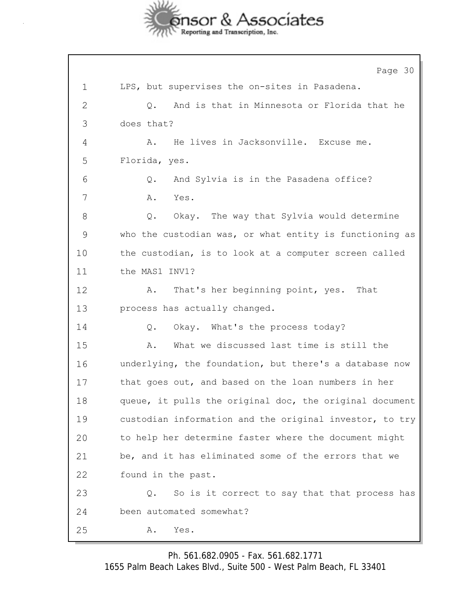

Page 30 1 LPS, but supervises the on-sites in Pasadena. 2 Q. And is that in Minnesota or Florida that he 3 does that? 4 A. He lives in Jacksonville. Excuse me. 5 Florida, yes. 6 Q. And Sylvia is in the Pasadena office? 7 A. Yes. 8 Q. Okay. The way that Sylvia would determine 9 who the custodian was, or what entity is functioning as 10 the custodian, is to look at a computer screen called 11 the MAS1 INV1? 12 A. That's her beginning point, yes. That 13 process has actually changed. 14 Q. Okay. What's the process today? 15 A. What we discussed last time is still the 16 underlying, the foundation, but there's a database now 17 that goes out, and based on the loan numbers in her 18 queue, it pulls the original doc, the original document 19 custodian information and the original investor, to try 20 to help her determine faster where the document might 21 be, and it has eliminated some of the errors that we 22 found in the past. 23 Q. So is it correct to say that that process has 24 been automated somewhat? 25 A. Yes.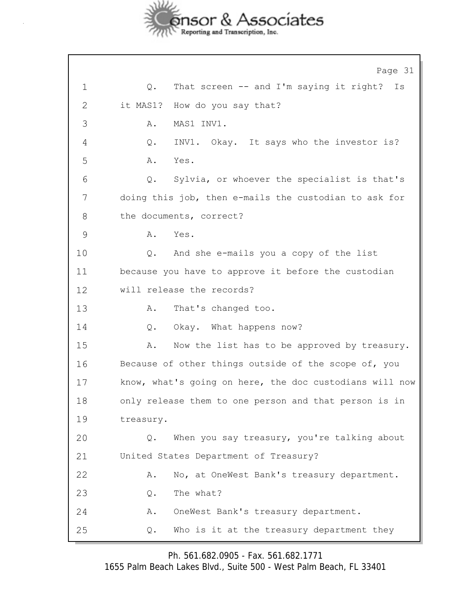

Page 31 1 Q. That screen -- and I'm saying it right? Is 2 it MAS1? How do you say that? 3 A. MAS1 INV1. 4 Q. INV1. Okay. It says who the investor is? 5 A. Yes. 6 Q. Sylvia, or whoever the specialist is that's 7 doing this job, then e-mails the custodian to ask for 8 the documents, correct? 9 A. Yes. 10 Q. And she e-mails you a copy of the list 11 because you have to approve it before the custodian 12 will release the records? 13 A. That's changed too. 14 Q. Okay. What happens now? 15 A. Now the list has to be approved by treasury. 16 Because of other things outside of the scope of, you 17 know, what's going on here, the doc custodians will now 18 only release them to one person and that person is in 19 treasury. 20 Q. When you say treasury, you're talking about 21 United States Department of Treasury? 22 A. No, at OneWest Bank's treasury department. 23 0. The what? 24 A. OneWest Bank's treasury department. 25 Q. Who is it at the treasury department they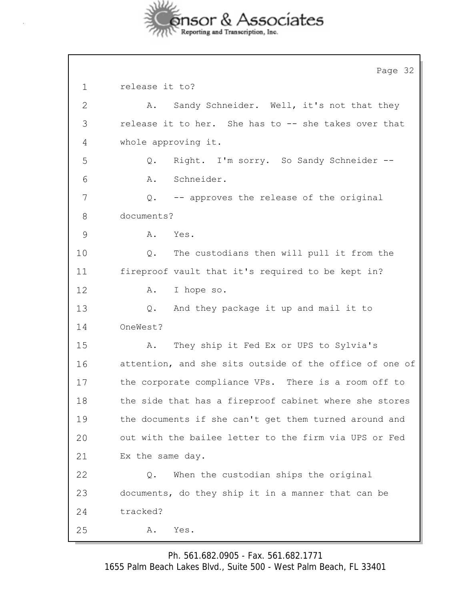

|              | Page 32                                                 |
|--------------|---------------------------------------------------------|
| $\mathbf 1$  | release it to?                                          |
| $\mathbf{2}$ | Sandy Schneider. Well, it's not that they<br>Α.         |
| 3            | release it to her. She has to -- she takes over that    |
| 4            | whole approving it.                                     |
| 5            | Right. I'm sorry. So Sandy Schneider --<br>$Q$ .        |
| 6            | Schneider.<br>Α.                                        |
| 7            | -- approves the release of the original<br>Q.           |
| 8            | documents?                                              |
| 9            | Α.<br>Yes.                                              |
| 10           | The custodians then will pull it from the<br>Q.         |
| 11           | fireproof vault that it's required to be kept in?       |
| 12           | I hope so.<br>Α.                                        |
| 13           | And they package it up and mail it to<br>Q.             |
| 14           | OneWest?                                                |
| 15           | They ship it Fed Ex or UPS to Sylvia's<br>Α.            |
| 16           | attention, and she sits outside of the office of one of |
| 17           | the corporate compliance VPs. There is a room off to    |
| 18           | the side that has a fireproof cabinet where she stores  |
| 19           | the documents if she can't get them turned around and   |
| 20           | out with the bailee letter to the firm via UPS or Fed   |
| 21           | Ex the same day.                                        |
| 22           | When the custodian ships the original<br>Q.             |
| 23           | documents, do they ship it in a manner that can be      |
| 24           | tracked?                                                |
| 25           | Yes.<br>Α.                                              |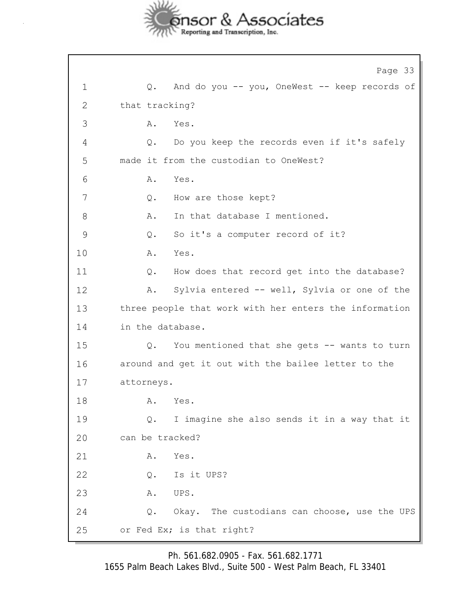

Page 33 1 Q. And do you -- you, OneWest -- keep records of 2 that tracking? 3 A. Yes. 4 Q. Do you keep the records even if it's safely 5 made it from the custodian to OneWest? 6 A. Yes. 7 Q. How are those kept? 8 A. In that database I mentioned. 9 Q. So it's a computer record of it? 10 A. Yes. 11 Q. How does that record get into the database? 12 A. Sylvia entered -- well, Sylvia or one of the 13 three people that work with her enters the information 14 in the database. 15 Q. You mentioned that she gets -- wants to turn 16 around and get it out with the bailee letter to the 17 attorneys. 18 **A.** Yes. 19 Q. I imagine she also sends it in a way that it 20 can be tracked? 21 A. Yes. 22 Q. Is it UPS? 23 A. UPS. 24 Q. Okay. The custodians can choose, use the UPS 25 or Fed Ex; is that right?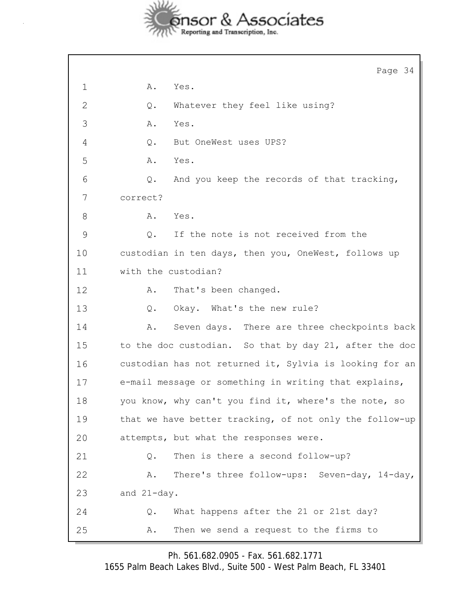

J.

|               | Page 34                                                      |
|---------------|--------------------------------------------------------------|
| 1             | Yes.<br>Α.                                                   |
| $\mathbf{2}$  | Whatever they feel like using?<br>Q.                         |
| 3             | Α.<br>Yes.                                                   |
| 4             | But OneWest uses UPS?<br>$Q$ .                               |
| 5             | Yes.<br>Α.                                                   |
| 6             | $\mathsf{Q}$ .<br>And you keep the records of that tracking, |
| 7             | correct?                                                     |
| 8             | Yes.<br>Α.                                                   |
| $\mathcal{G}$ | If the note is not received from the<br>Q.                   |
| 10            | custodian in ten days, then you, OneWest, follows up         |
| 11            | with the custodian?                                          |
| 12            | That's been changed.<br>Α.                                   |
| 13            | Okay. What's the new rule?<br>Q.                             |
| 14            | Seven days. There are three checkpoints back<br>Α.           |
| 15            | to the doc custodian. So that by day 21, after the doc       |
| 16            | custodian has not returned it, Sylvia is looking for an      |
| 17            | e-mail message or something in writing that explains,        |
| 18            | you know, why can't you find it, where's the note, so        |
| 19            | that we have better tracking, of not only the follow-up      |
| 20            | attempts, but what the responses were.                       |
| 21            | Then is there a second follow-up?<br>Q.                      |
| 22            | There's three follow-ups: Seven-day, 14-day,<br>Α.           |
| 23            | and 21-day.                                                  |
| 24            | What happens after the 21 or 21st day?<br>Q.                 |
| 25            | Then we send a request to the firms to<br>Α.                 |

Ph. 561.682.0905 - Fax. 561.682.1771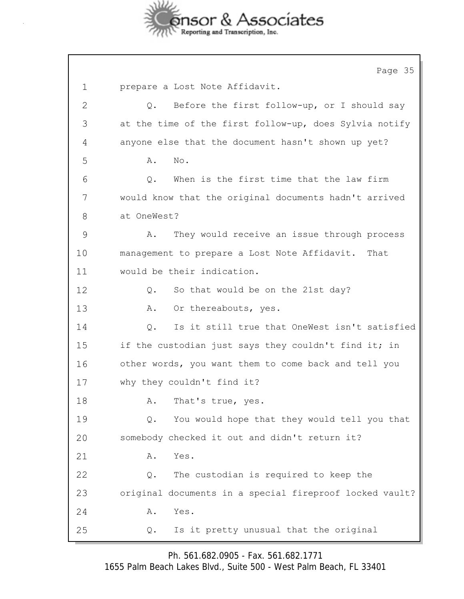

Page 35 1 prepare a Lost Note Affidavit. 2 Q. Before the first follow-up, or I should say 3 at the time of the first follow-up, does Sylvia notify 4 anyone else that the document hasn't shown up yet? 5 **A.** No. 6 Q. When is the first time that the law firm 7 would know that the original documents hadn't arrived 8 at OneWest? 9 A. They would receive an issue through process 10 management to prepare a Lost Note Affidavit. That 11 would be their indication. 12 Q. So that would be on the 21st day? 13 A. Or thereabouts, yes. 14 Q. Is it still true that OneWest isn't satisfied 15 if the custodian just says they couldn't find it; in 16 other words, you want them to come back and tell you 17 why they couldn't find it? 18 A. That's true, yes. 19 Q. You would hope that they would tell you that 20 somebody checked it out and didn't return it? 21 A. Yes. 22 Q. The custodian is required to keep the 23 original documents in a special fireproof locked vault? 24 A. Yes. 25 Q. Is it pretty unusual that the original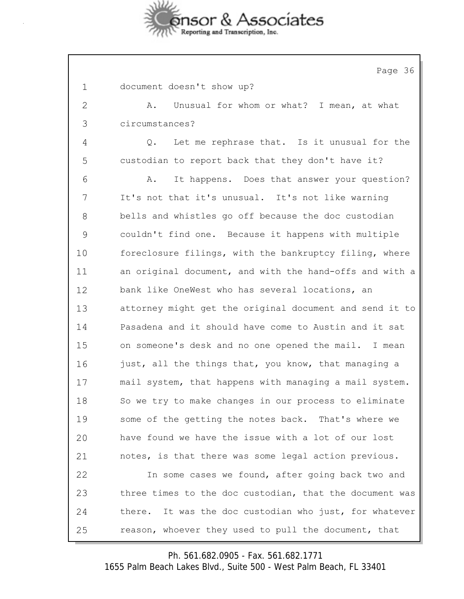

Page 36 1 document doesn't show up? 2 A. Unusual for whom or what? I mean, at what 3 circumstances? 4 Q. Let me rephrase that. Is it unusual for the 5 custodian to report back that they don't have it? 6 A. It happens. Does that answer your question? 7 It's not that it's unusual. It's not like warning 8 bells and whistles go off because the doc custodian 9 couldn't find one. Because it happens with multiple 10 foreclosure filings, with the bankruptcy filing, where 11 an original document, and with the hand-offs and with a 12 bank like OneWest who has several locations, an 13 attorney might get the original document and send it to 14 Pasadena and it should have come to Austin and it sat 15 on someone's desk and no one opened the mail. I mean 16 just, all the things that, you know, that managing a 17 mail system, that happens with managing a mail system. 18 So we try to make changes in our process to eliminate 19 some of the getting the notes back. That's where we 20 have found we have the issue with a lot of our lost 21 notes, is that there was some legal action previous. 22 In some cases we found, after going back two and 23 three times to the doc custodian, that the document was 24 there. It was the doc custodian who just, for whatever 25 reason, whoever they used to pull the document, that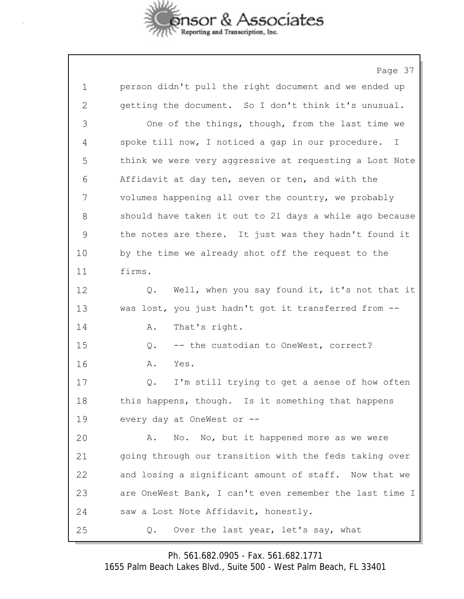

Page 37 1 person didn't pull the right document and we ended up 2 getting the document. So I don't think it's unusual. 3 One of the things, though, from the last time we 4 spoke till now, I noticed a gap in our procedure. I 5 think we were very aggressive at requesting a Lost Note 6 Affidavit at day ten, seven or ten, and with the 7 volumes happening all over the country, we probably 8 should have taken it out to 21 days a while ago because 9 the notes are there. It just was they hadn't found it 10 by the time we already shot off the request to the 11 firms. 12 Q. Well, when you say found it, it's not that it 13 was lost, you just hadn't got it transferred from -- 14 A. That's right. 15 Q. -- the custodian to OneWest, correct? 16 A. Yes. 17 Q. I'm still trying to get a sense of how often 18 this happens, though. Is it something that happens 19 every day at OneWest or -- 20 A. No. No, but it happened more as we were 21 going through our transition with the feds taking over 22 and losing a significant amount of staff. Now that we 23 are OneWest Bank, I can't even remember the last time I 24 saw a Lost Note Affidavit, honestly. 25 Q. Over the last year, let's say, what

Ph. 561.682.0905 - Fax. 561.682.1771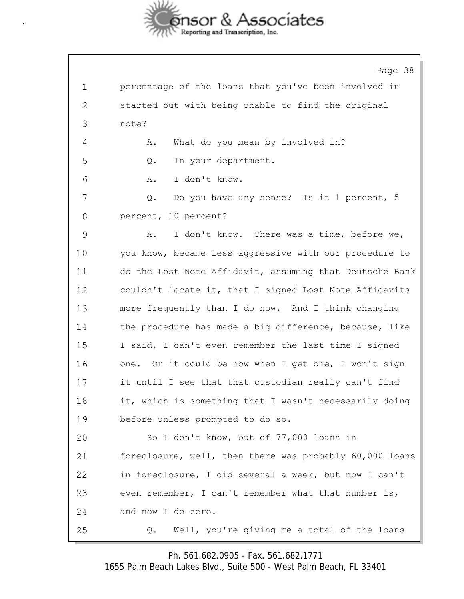

|              | Page 38                                                 |
|--------------|---------------------------------------------------------|
| $\mathbf 1$  | percentage of the loans that you've been involved in    |
| $\mathbf{2}$ | started out with being unable to find the original      |
| 3            | note?                                                   |
| 4            | What do you mean by involved in?<br>Α.                  |
| 5            | In your department.<br>Q.                               |
| 6            | I don't know.<br>Α.                                     |
| 7            | Do you have any sense? Is it 1 percent, 5<br>Q.         |
| 8            | percent, 10 percent?                                    |
| 9            | I don't know. There was a time, before we,<br>Α.        |
| 10           | you know, became less aggressive with our procedure to  |
| 11           | do the Lost Note Affidavit, assuming that Deutsche Bank |
| 12           | couldn't locate it, that I signed Lost Note Affidavits  |
| 13           | more frequently than I do now. And I think changing     |
| 14           | the procedure has made a big difference, because, like  |
| 15           | I said, I can't even remember the last time I signed    |
| 16           | one. Or it could be now when I get one, I won't sign    |
| 17           | it until I see that that custodian really can't find    |
| 18           | it, which is something that I wasn't necessarily doing  |
| 19           | before unless prompted to do so.                        |
| 20           | So I don't know, out of 77,000 loans in                 |
| 21           | foreclosure, well, then there was probably 60,000 loans |
| 22           | in foreclosure, I did several a week, but now I can't   |
| 23           | even remember, I can't remember what that number is,    |
| 24           | and now I do zero.                                      |
| 25           | Well, you're giving me a total of the loans<br>Q.       |

Ph. 561.682.0905 - Fax. 561.682.1771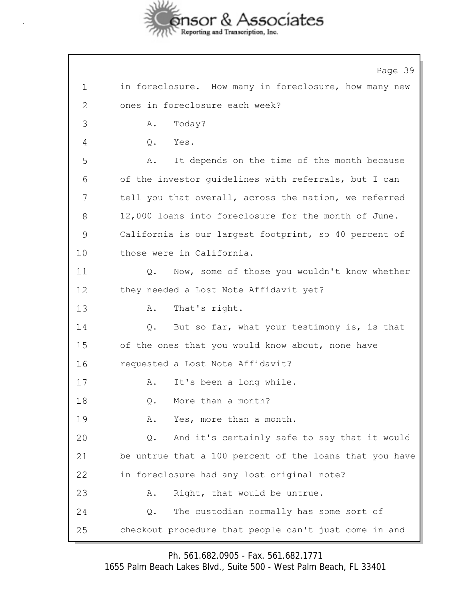

Page 39 1 in foreclosure. How many in foreclosure, how many new 2 ones in foreclosure each week? 3 A. Today? 4 Q. Yes. 5 A. It depends on the time of the month because 6 of the investor guidelines with referrals, but I can 7 tell you that overall, across the nation, we referred 8 12,000 loans into foreclosure for the month of June. 9 California is our largest footprint, so 40 percent of 10 those were in California. 11 Q. Now, some of those you wouldn't know whether 12 they needed a Lost Note Affidavit yet? 13 A. That's right. 14 Q. But so far, what your testimony is, is that 15 of the ones that you would know about, none have 16 requested a Lost Note Affidavit? 17 A. It's been a long while. 18 0. More than a month? 19 A. Yes, more than a month. 20 Q. And it's certainly safe to say that it would 21 be untrue that a 100 percent of the loans that you have 22 in foreclosure had any lost original note? 23 A. Right, that would be untrue. 24 Q. The custodian normally has some sort of 25 checkout procedure that people can't just come in and

Ph. 561.682.0905 - Fax. 561.682.1771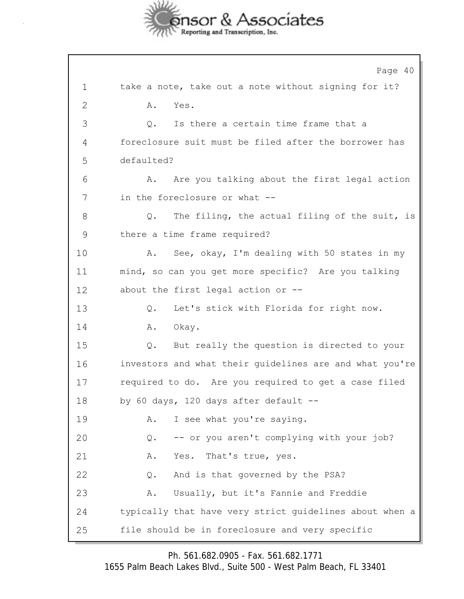

Page 40 1 take a note, take out a note without signing for it? 2 A. Yes. 3 Q. Is there a certain time frame that a 4 foreclosure suit must be filed after the borrower has 5 defaulted? 6 A. Are you talking about the first legal action 7 in the foreclosure or what -- 8 Q. The filing, the actual filing of the suit, is 9 there a time frame required? 10 A. See, okay, I'm dealing with 50 states in my 11 mind, so can you get more specific? Are you talking 12 about the first legal action or -- 13 Q. Let's stick with Florida for right now. 14 A. Okay. 15 Q. But really the question is directed to your 16 investors and what their guidelines are and what you're 17 required to do. Are you required to get a case filed 18 by 60 days, 120 days after default -- 19 A. I see what you're saying. 20 Q. -- or you aren't complying with your job? 21 A. Yes. That's true, yes. 22 Q. And is that governed by the PSA? 23 A. Usually, but it's Fannie and Freddie 24 typically that have very strict guidelines about when a 25 file should be in foreclosure and very specific

Ph. 561.682.0905 - Fax. 561.682.1771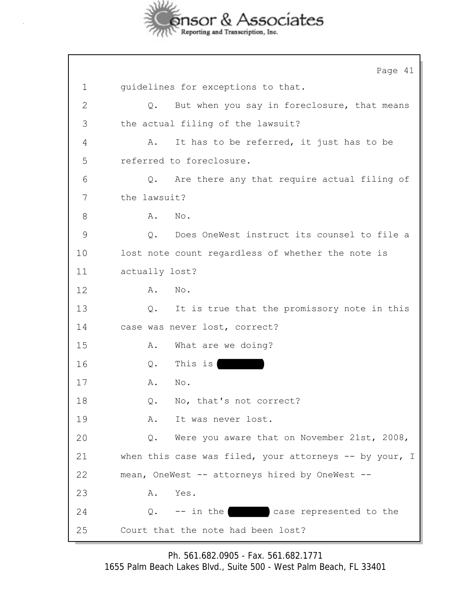

|              | Page 41                                                      |
|--------------|--------------------------------------------------------------|
| $\mathbf 1$  | guidelines for exceptions to that.                           |
| $\mathbf{2}$ | But when you say in foreclosure, that means<br>$Q$ .         |
| 3            | the actual filing of the lawsuit?                            |
| 4            | It has to be referred, it just has to be<br>Α.               |
| 5            | referred to foreclosure.                                     |
| 6            | Are there any that require actual filing of<br>$Q$ .         |
| 7            | the lawsuit?                                                 |
| 8            | Α.<br>No.                                                    |
| 9            | Does OneWest instruct its counsel to file a<br>$Q_{\bullet}$ |
| 10           | lost note count regardless of whether the note is            |
| 11           | actually lost?                                               |
| 12           | No.<br>Α.                                                    |
| 13           | It is true that the promissory note in this<br>Q.            |
| 14           | case was never lost, correct?                                |
| 15           | What are we doing?<br>Α.                                     |
| 16           | This is<br>$Q$ .                                             |
| 17           | No.<br>Α.                                                    |
| 18           | No, that's not correct?<br>$Q$ .                             |
| 19           | Α.<br>It was never lost.                                     |
| 20           | Q. Were you aware that on November 21st, 2008,               |
| 21           | when this case was filed, your attorneys $--$ by your, I     |
| 22           | mean, OneWest -- attorneys hired by OneWest --               |
| 23           | Yes.<br>Α.                                                   |
| 24           | -- in the case represented to the<br>Q.                      |
| 25           | Court that the note had been lost?                           |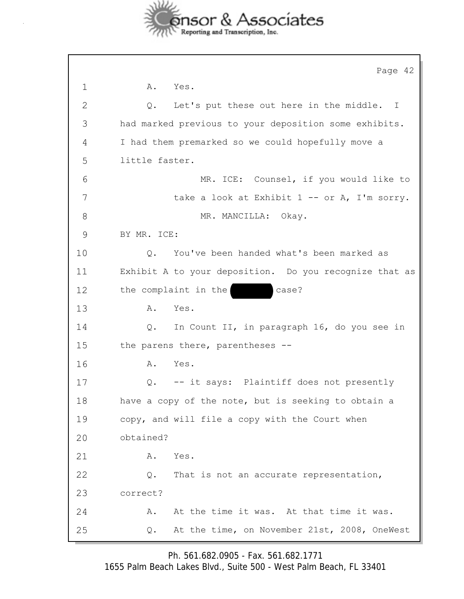

|             | Page 42                                                 |
|-------------|---------------------------------------------------------|
| $\mathbf 1$ | A. Yes.                                                 |
| 2           | Let's put these out here in the middle.<br>Q.<br>$\top$ |
| 3           | had marked previous to your deposition some exhibits.   |
| 4           | I had them premarked so we could hopefully move a       |
| 5           | little faster.                                          |
| 6           | MR. ICE: Counsel, if you would like to                  |
| 7           | take a look at Exhibit $1 - -$ or A, I'm sorry.         |
| 8           | MR. MANCILLA: Okay.                                     |
| 9           | BY MR. ICE:                                             |
| 10          | You've been handed what's been marked as<br>Q.          |
| 11          | Exhibit A to your deposition. Do you recognize that as  |
| 12          | the complaint in the<br>case?                           |
| 13          | Α.<br>Yes.                                              |
| 14          | In Count II, in paragraph 16, do you see in<br>Q.       |
| 15          | the parens there, parentheses --                        |
| 16          | Yes.<br>Α.                                              |
| 17          | -- it says: Plaintiff does not presently<br>Q.          |
| 18          | have a copy of the note, but is seeking to obtain a     |
| 19          | copy, and will file a copy with the Court when          |
| 20          | obtained?                                               |
| 21          | Yes.<br>Α.                                              |
| 22          | That is not an accurate representation,<br>Q.           |
| 23          | correct?                                                |
| 24          | At the time it was. At that time it was.<br>Α.          |
| 25          | At the time, on November 21st, 2008, OneWest<br>Q.      |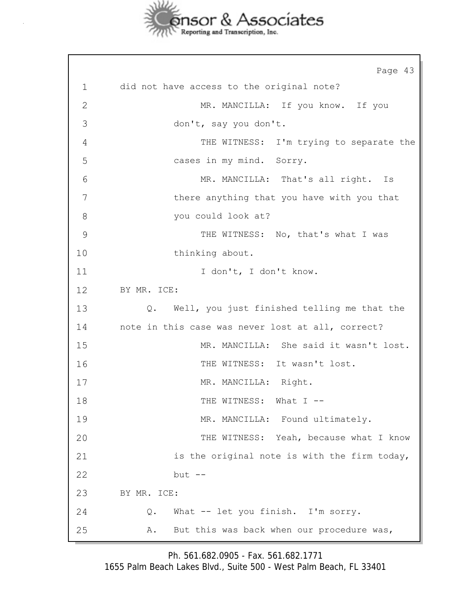

Page 43 1 did not have access to the original note? 2 MR. MANCILLA: If you know. If you 3 don't, say you don't. 4 THE WITNESS: I'm trying to separate the 5 cases in my mind. Sorry. 6 MR. MANCILLA: That's all right. Is 7 there anything that you have with you that 8 you could look at? 9 THE WITNESS: No, that's what I was 10 thinking about. 11 I don't, I don't know. 12 BY MR. ICE: 13 Q. Well, you just finished telling me that the 14 note in this case was never lost at all, correct? 15 MR. MANCILLA: She said it wasn't lost. 16 THE WITNESS: It wasn't lost. 17 MR. MANCILLA: Right. 18 THE WITNESS: What I --19 MR. MANCILLA: Found ultimately. 20 THE WITNESS: Yeah, because what I know 21 is the original note is with the firm today, 22 but -- 23 BY MR. ICE: 24 Q. What -- let you finish. I'm sorry. 25 A. But this was back when our procedure was,

Ph. 561.682.0905 - Fax. 561.682.1771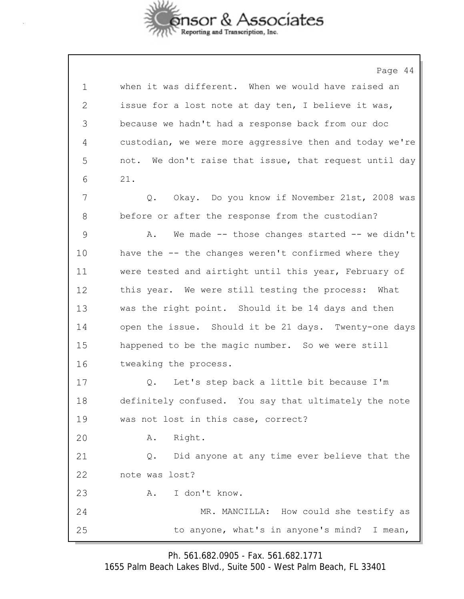

Page 44 1 when it was different. When we would have raised an 2 issue for a lost note at day ten, I believe it was, 3 because we hadn't had a response back from our doc 4 custodian, we were more aggressive then and today we're 5 not. We don't raise that issue, that request until day 6 21. 7 Q. Okay. Do you know if November 21st, 2008 was 8 before or after the response from the custodian? 9 A. We made -- those changes started -- we didn't 10 have the -- the changes weren't confirmed where they 11 were tested and airtight until this year, February of 12 this year. We were still testing the process: What 13 was the right point. Should it be 14 days and then 14 open the issue. Should it be 21 days. Twenty-one days 15 happened to be the magic number. So we were still 16 tweaking the process. 17 Q. Let's step back a little bit because I'm 18 definitely confused. You say that ultimately the note 19 was not lost in this case, correct? 20 A. Right. 21 Q. Did anyone at any time ever believe that the 22 note was lost? 23 A. I don't know. 24 MR. MANCILLA: How could she testify as 25 to anyone, what's in anyone's mind? I mean,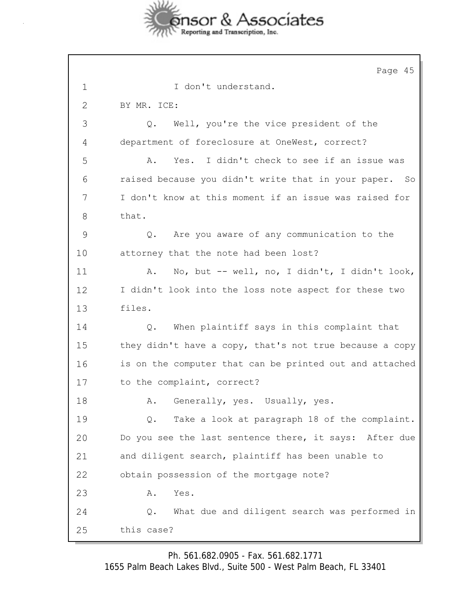

Page 45 1 I don't understand. 2 BY MR. ICE: 3 Q. Well, you're the vice president of the 4 department of foreclosure at OneWest, correct? 5 A. Yes. I didn't check to see if an issue was 6 raised because you didn't write that in your paper. So 7 I don't know at this moment if an issue was raised for 8 that. 9 Q. Are you aware of any communication to the 10 attorney that the note had been lost? 11 A. No, but -- well, no, I didn't, I didn't look, 12 I didn't look into the loss note aspect for these two 13 files. 14 Q. When plaintiff says in this complaint that 15 they didn't have a copy, that's not true because a copy 16 is on the computer that can be printed out and attached 17 to the complaint, correct? 18 A. Generally, yes. Usually, yes. 19 Q. Take a look at paragraph 18 of the complaint. 20 Do you see the last sentence there, it says: After due 21 and diligent search, plaintiff has been unable to 22 obtain possession of the mortgage note? 23 A. Yes. 24 Q. What due and diligent search was performed in 25 this case?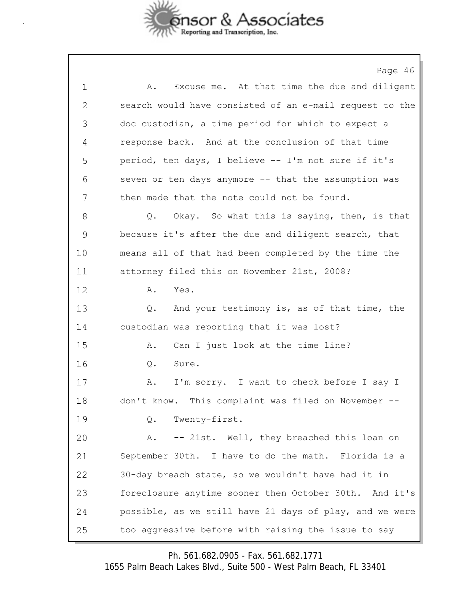

Page 46 1 A. Excuse me. At that time the due and diligent 2 search would have consisted of an e-mail request to the 3 doc custodian, a time period for which to expect a 4 response back. And at the conclusion of that time 5 period, ten days, I believe -- I'm not sure if it's 6 seven or ten days anymore -- that the assumption was 7 then made that the note could not be found. 8 Q. Okay. So what this is saying, then, is that 9 because it's after the due and diligent search, that 10 means all of that had been completed by the time the 11 attorney filed this on November 21st, 2008? 12 A. Yes. 13 Q. And your testimony is, as of that time, the 14 custodian was reporting that it was lost? 15 A. Can I just look at the time line? 16 Q. Sure. 17 A. I'm sorry. I want to check before I say I 18 don't know. This complaint was filed on November -- 19 Q. Twenty-first. 20 A. -- 21st. Well, they breached this loan on 21 September 30th. I have to do the math. Florida is a 22 30-day breach state, so we wouldn't have had it in 23 foreclosure anytime sooner then October 30th. And it's 24 possible, as we still have 21 days of play, and we were 25 too aggressive before with raising the issue to say

Ph. 561.682.0905 - Fax. 561.682.1771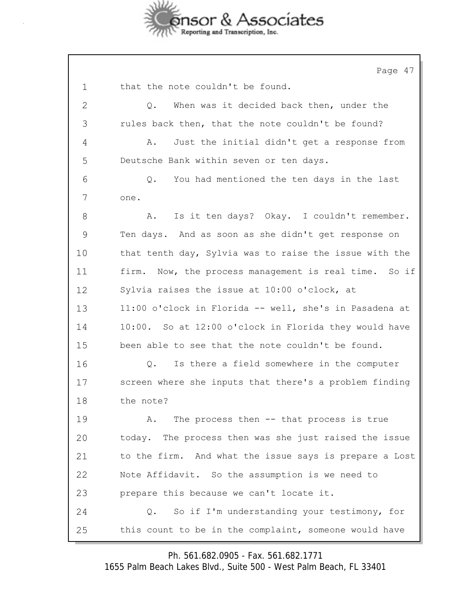

Page 47 1 that the note couldn't be found. 2 Q. When was it decided back then, under the 3 rules back then, that the note couldn't be found? 4 A. Just the initial didn't get a response from 5 Deutsche Bank within seven or ten days. 6 Q. You had mentioned the ten days in the last 7 one. 8 A. Is it ten days? Okay. I couldn't remember. 9 Ten days. And as soon as she didn't get response on 10 that tenth day, Sylvia was to raise the issue with the 11 firm. Now, the process management is real time. So if 12 Sylvia raises the issue at 10:00 o'clock, at 13 11:00 o'clock in Florida -- well, she's in Pasadena at 14 10:00. So at 12:00 o'clock in Florida they would have 15 been able to see that the note couldn't be found. 16 Q. Is there a field somewhere in the computer 17 screen where she inputs that there's a problem finding 18 the note? 19 A. The process then -- that process is true 20 today. The process then was she just raised the issue 21 to the firm. And what the issue says is prepare a Lost 22 Note Affidavit. So the assumption is we need to 23 prepare this because we can't locate it. 24 Q. So if I'm understanding your testimony, for 25 this count to be in the complaint, someone would have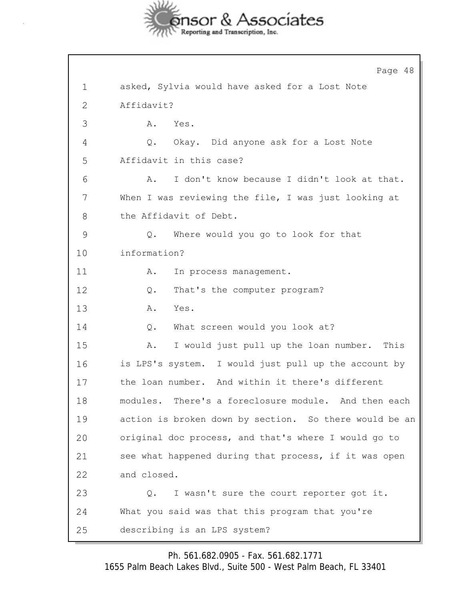

Page 48 1 asked, Sylvia would have asked for a Lost Note 2 Affidavit? 3 A. Yes. 4 Q. Okay. Did anyone ask for a Lost Note 5 Affidavit in this case? 6 A. I don't know because I didn't look at that. 7 When I was reviewing the file, I was just looking at 8 the Affidavit of Debt. 9 Q. Where would you go to look for that 10 information? 11 A. In process management. 12 Q. That's the computer program? 13 A. Yes. 14 Q. What screen would you look at? 15 A. I would just pull up the loan number. This 16 is LPS's system. I would just pull up the account by 17 the loan number. And within it there's different 18 modules. There's a foreclosure module. And then each 19 action is broken down by section. So there would be an 20 original doc process, and that's where I would go to 21 see what happened during that process, if it was open 22 and closed. 23 Q. I wasn't sure the court reporter got it. 24 What you said was that this program that you're 25 describing is an LPS system?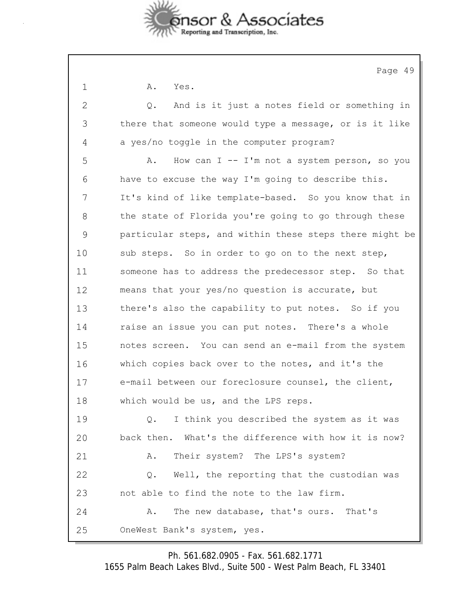

|              | Page 49                                                       |
|--------------|---------------------------------------------------------------|
| $\mathbf 1$  | Α.<br>Yes.                                                    |
| $\mathbf{2}$ | And is it just a notes field or something in<br>$Q_{\bullet}$ |
| 3            | there that someone would type a message, or is it like        |
| 4            | a yes/no toggle in the computer program?                      |
| 5            | How can $I - - I'm$ not a system person, so you<br>Α.         |
| 6            | have to excuse the way I'm going to describe this.            |
| 7            | It's kind of like template-based. So you know that in         |
| 8            | the state of Florida you're going to go through these         |
| 9            | particular steps, and within these steps there might be       |
| 10           | sub steps. So in order to go on to the next step,             |
| 11           | someone has to address the predecessor step. So that          |
| 12           | means that your yes/no question is accurate, but              |
| 13           | there's also the capability to put notes. So if you           |
| 14           | raise an issue you can put notes. There's a whole             |
| 15           | notes screen. You can send an e-mail from the system          |
| 16           | which copies back over to the notes, and it's the             |
| 17           | e-mail between our foreclosure counsel, the client,           |
| 18           | which would be us, and the LPS reps.                          |
| 19           | I think you described the system as it was<br>Q.              |
| 20           | back then. What's the difference with how it is now?          |
| 21           | Their system? The LPS's system?<br>Α.                         |
| 22           | Well, the reporting that the custodian was<br>Q.              |
| 23           | not able to find the note to the law firm.                    |
| 24           | The new database, that's ours. That's<br>Α.                   |
|              |                                                               |

25 OneWest Bank's system, yes.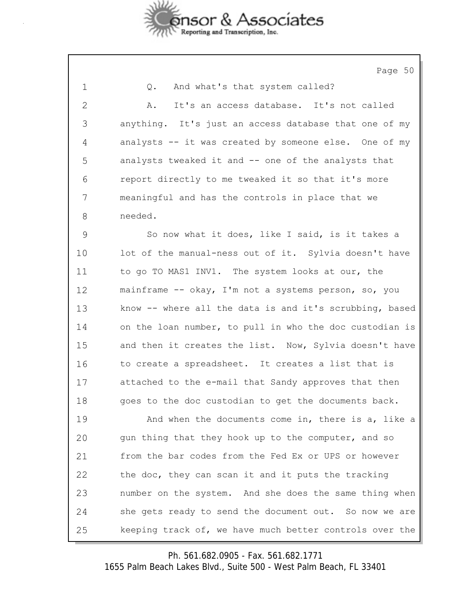

Page 50

| 1            | And what's that system called?<br>Q.                    |
|--------------|---------------------------------------------------------|
| $\mathbf{2}$ | It's an access database. It's not called<br>Α.          |
| 3            | anything. It's just an access database that one of my   |
| 4            | analysts -- it was created by someone else. One of my   |
| 5            | analysts tweaked it and -- one of the analysts that     |
| 6            | report directly to me tweaked it so that it's more      |
| 7            | meaningful and has the controls in place that we        |
| 8            | needed.                                                 |
| 9            | So now what it does, like I said, is it takes a         |
| 10           | lot of the manual-ness out of it. Sylvia doesn't have   |
| 11           | to go TO MAS1 INV1. The system looks at our, the        |
| 12           | mainframe -- okay, I'm not a systems person, so, you    |
| 13           | know -- where all the data is and it's scrubbing, based |
| 14           | on the loan number, to pull in who the doc custodian is |
| 15           | and then it creates the list. Now, Sylvia doesn't have  |
| 16           | to create a spreadsheet. It creates a list that is      |
| 17           | attached to the e-mail that Sandy approves that then    |
| 18           | goes to the doc custodian to get the documents back.    |
| 19           | And when the documents come in, there is a, like a      |
| 20           | gun thing that they hook up to the computer, and so     |
| 21           | from the bar codes from the Fed Ex or UPS or however    |
| 22           | the doc, they can scan it and it puts the tracking      |
| 23           | number on the system. And she does the same thing when  |
| 24           | she gets ready to send the document out. So now we are  |
| 25           | keeping track of, we have much better controls over the |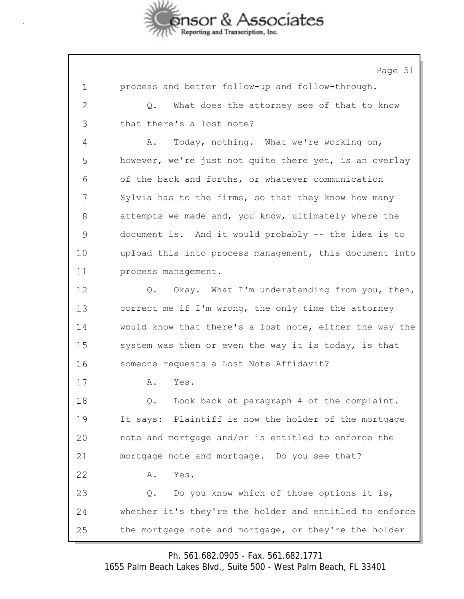

Page 51 1 process and better follow-up and follow-through. 2 Q. What does the attorney see of that to know 3 that there's a lost note? 4 A. Today, nothing. What we're working on, 5 however, we're just not quite there yet, is an overlay 6 of the back and forths, or whatever communication 7 Sylvia has to the firms, so that they know how many 8 attempts we made and, you know, ultimately where the 9 document is. And it would probably -- the idea is to 10 upload this into process management, this document into 11 process management. 12 Q. Okay. What I'm understanding from you, then, 13 correct me if I'm wrong, the only time the attorney 14 would know that there's a lost note, either the way the 15 system was then or even the way it is today, is that 16 someone requests a Lost Note Affidavit? 17 A. Yes. 18 Q. Look back at paragraph 4 of the complaint. 19 It says: Plaintiff is now the holder of the mortgage 20 note and mortgage and/or is entitled to enforce the 21 mortgage note and mortgage. Do you see that? 22 A. Yes. 23 Q. Do you know which of those options it is, 24 whether it's they're the holder and entitled to enforce 25 the mortgage note and mortgage, or they're the holder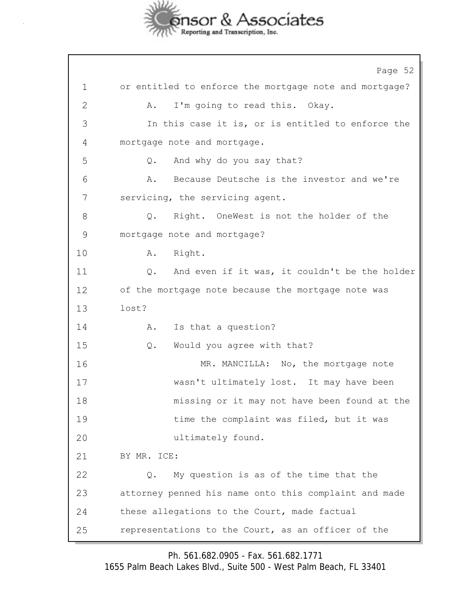

Page 52 1 or entitled to enforce the mortgage note and mortgage? 2 A. I'm going to read this. Okay. 3 In this case it is, or is entitled to enforce the 4 mortgage note and mortgage. 5 Q. And why do you say that? 6 A. Because Deutsche is the investor and we're 7 servicing, the servicing agent. 8 Q. Right. OneWest is not the holder of the 9 mortgage note and mortgage? 10 A. Right. 11 Q. And even if it was, it couldn't be the holder 12 of the mortgage note because the mortgage note was 13 lost? 14 A. Is that a question? 15 Q. Would you agree with that? 16 MR. MANCILLA: No, the mortgage note 17 wasn't ultimately lost. It may have been 18 missing or it may not have been found at the 19 time the complaint was filed, but it was 20 ultimately found. 21 BY MR. ICE: 22 Q. My question is as of the time that the 23 attorney penned his name onto this complaint and made 24 these allegations to the Court, made factual 25 representations to the Court, as an officer of the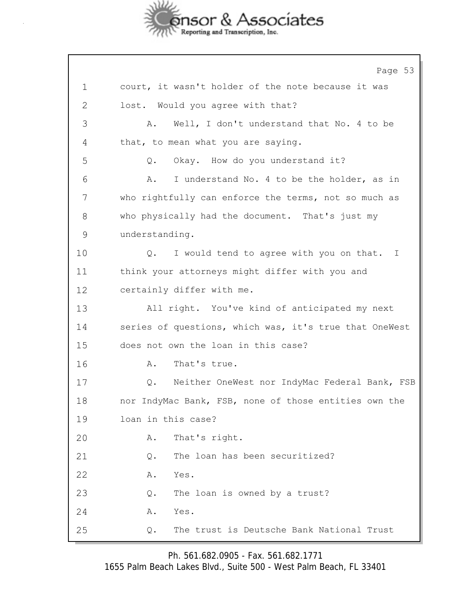

Page 53 1 court, it wasn't holder of the note because it was 2 lost. Would you agree with that? 3 A. Well, I don't understand that No. 4 to be 4 that, to mean what you are saying. 5 Q. Okay. How do you understand it? 6 A. I understand No. 4 to be the holder, as in 7 who rightfully can enforce the terms, not so much as 8 who physically had the document. That's just my 9 understanding. 10 **Q.** I would tend to agree with you on that. I 11 think your attorneys might differ with you and 12 certainly differ with me. 13 All right. You've kind of anticipated my next 14 series of questions, which was, it's true that OneWest 15 does not own the loan in this case? 16 A. That's true. 17 Q. Neither OneWest nor IndyMac Federal Bank, FSB 18 nor IndyMac Bank, FSB, none of those entities own the 19 loan in this case? 20 A. That's right. 21 Q. The loan has been securitized? 22 A. Yes. 23 Q. The loan is owned by a trust? 24 A. Yes. 25 Q. The trust is Deutsche Bank National Trust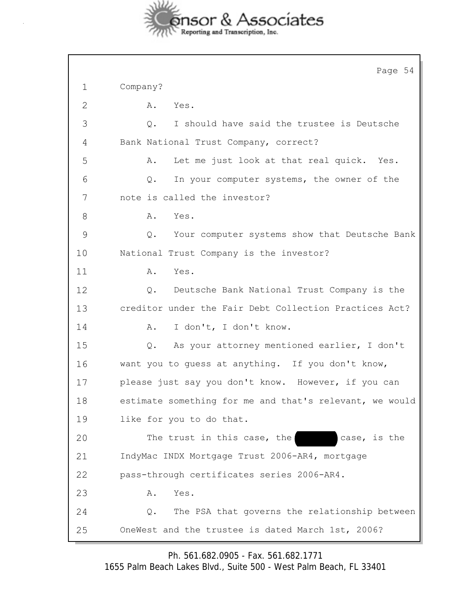

|              | Page 54                                                 |
|--------------|---------------------------------------------------------|
| $\mathbf 1$  | Company?                                                |
| $\mathbf{2}$ | Yes.<br>Α.                                              |
| 3            | I should have said the trustee is Deutsche<br>Q.        |
| 4            | Bank National Trust Company, correct?                   |
| 5            | Let me just look at that real quick. Yes.<br>Α.         |
| 6            | In your computer systems, the owner of the<br>Q.        |
| 7            | note is called the investor?                            |
| 8            | Α.<br>Yes.                                              |
| 9            | Your computer systems show that Deutsche Bank<br>$Q$ .  |
| 10           | National Trust Company is the investor?                 |
| 11           | Yes.<br>Α.                                              |
| 12           | Deutsche Bank National Trust Company is the<br>Q.       |
| 13           | creditor under the Fair Debt Collection Practices Act?  |
| 14           | I don't, I don't know.<br>Α.                            |
| 15           | As your attorney mentioned earlier, I don't<br>Q.       |
| 16           | want you to quess at anything. If you don't know,       |
| 17           | please just say you don't know. However, if you can     |
| 18           | estimate something for me and that's relevant, we would |
| 19           | like for you to do that.                                |
| 20           | The trust in this case, the<br>case, is the             |
| 21           | IndyMac INDX Mortgage Trust 2006-AR4, mortgage          |
| 22           | pass-through certificates series 2006-AR4.              |
| 23           | Yes.<br>Α.                                              |
| 24           | The PSA that governs the relationship between<br>Q.     |
| 25           | OneWest and the trustee is dated March 1st, 2006?       |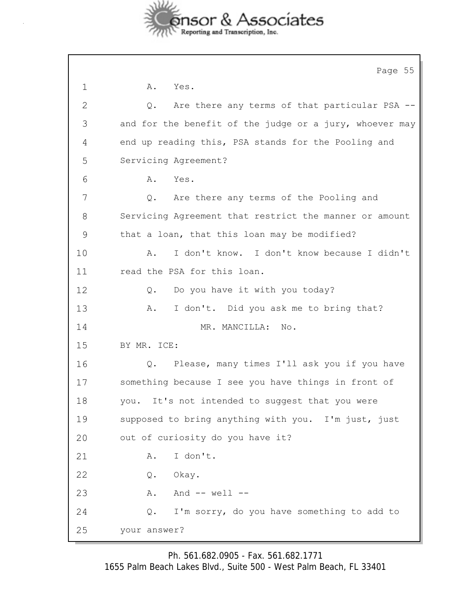

|    | Page 55                                                 |
|----|---------------------------------------------------------|
| 1  | Yes.<br>Α.                                              |
| 2  | Are there any terms of that particular PSA --<br>Q.     |
| 3  | and for the benefit of the judge or a jury, whoever may |
| 4  | end up reading this, PSA stands for the Pooling and     |
| 5  | Servicing Agreement?                                    |
| 6  | Yes.<br>Α.                                              |
| 7  | Are there any terms of the Pooling and<br>Q.            |
| 8  | Servicing Agreement that restrict the manner or amount  |
| 9  | that a loan, that this loan may be modified?            |
| 10 | I don't know. I don't know because I didn't<br>Α.       |
| 11 | read the PSA for this loan.                             |
| 12 | Do you have it with you today?<br>Q.                    |
| 13 | I don't. Did you ask me to bring that?<br>Α.            |
| 14 | MR. MANCILLA: No.                                       |
| 15 | BY MR. ICE:                                             |
| 16 | Please, many times I'll ask you if you have<br>Q.       |
| 17 | something because I see you have things in front of     |
| 18 | you. It's not intended to suggest that you were         |
| 19 | supposed to bring anything with you. I'm just, just     |
| 20 | out of curiosity do you have it?                        |
| 21 | I don't.<br>Α.                                          |
| 22 | Okay.<br>Q.                                             |
| 23 | And $--$ well $--$<br>Α.                                |
| 24 | I'm sorry, do you have something to add to<br>Q.        |
| 25 | your answer?                                            |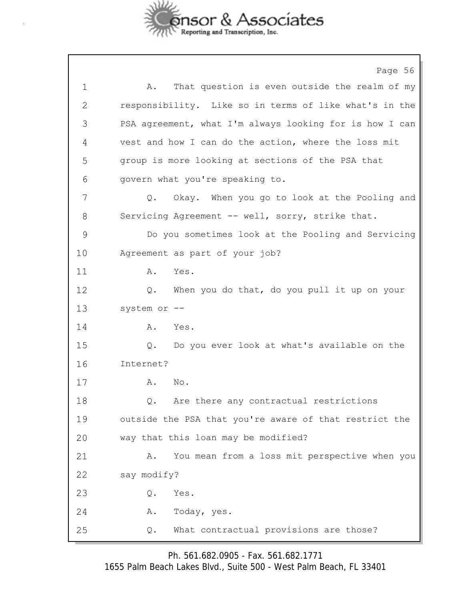

|             | Page 56                                                 |
|-------------|---------------------------------------------------------|
| $\mathbf 1$ | That question is even outside the realm of my<br>Α.     |
| 2           | responsibility. Like so in terms of like what's in the  |
| 3           | PSA agreement, what I'm always looking for is how I can |
| 4           | vest and how I can do the action, where the loss mit    |
| 5           | group is more looking at sections of the PSA that       |
| 6           | govern what you're speaking to.                         |
| 7           | Okay. When you go to look at the Pooling and<br>Q.      |
| 8           | Servicing Agreement -- well, sorry, strike that.        |
| 9           | Do you sometimes look at the Pooling and Servicing      |
| 10          | Agreement as part of your job?                          |
| 11          | Yes.<br>Α.                                              |
| 12          | When you do that, do you pull it up on your<br>Q.       |
| 13          | system or --                                            |
| 14          | Yes.<br>Α.                                              |
| 15          | Do you ever look at what's available on the<br>Q.       |
| 16          | Internet?                                               |
| 17          | No.<br>Α.                                               |
| 18          | Are there any contractual restrictions<br>Q.            |
| 19          | outside the PSA that you're aware of that restrict the  |
| 20          | way that this loan may be modified?                     |
| 21          | You mean from a loss mit perspective when you<br>Α.     |
| 22          | say modify?                                             |
| 23          | Yes.<br>Q.                                              |
| 24          | Today, yes.<br>Α.                                       |
| 25          | What contractual provisions are those?<br>Q.            |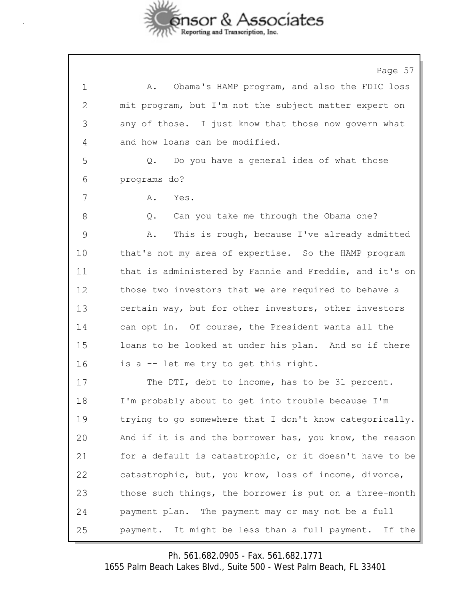

Page 57 1 A. Obama's HAMP program, and also the FDIC loss 2 mit program, but I'm not the subject matter expert on 3 any of those. I just know that those now govern what 4 and how loans can be modified. 5 Q. Do you have a general idea of what those 6 programs do? 7 A. Yes. 8 Q. Can you take me through the Obama one? 9 A. This is rough, because I've already admitted 10 that's not my area of expertise. So the HAMP program 11 that is administered by Fannie and Freddie, and it's on 12 those two investors that we are required to behave a 13 certain way, but for other investors, other investors 14 can opt in. Of course, the President wants all the 15 loans to be looked at under his plan. And so if there 16 is a -- let me try to get this right. 17 The DTI, debt to income, has to be 31 percent. 18 I'm probably about to get into trouble because I'm 19 trying to go somewhere that I don't know categorically. 20 And if it is and the borrower has, you know, the reason 21 for a default is catastrophic, or it doesn't have to be 22 catastrophic, but, you know, loss of income, divorce, 23 those such things, the borrower is put on a three-month 24 payment plan. The payment may or may not be a full 25 payment. It might be less than a full payment. If the

Ph. 561.682.0905 - Fax. 561.682.1771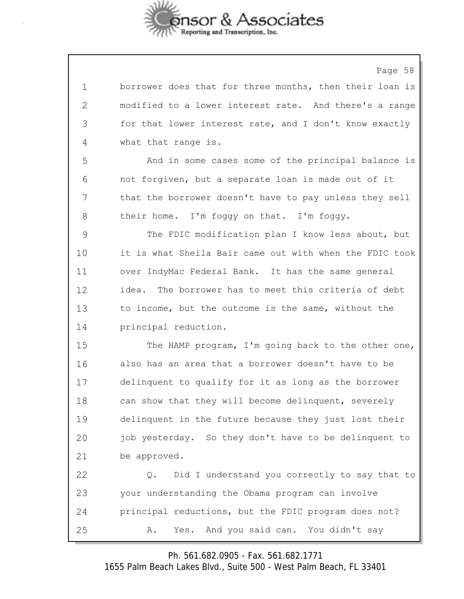

Page 58

| 1             | borrower does that for three months, then their loan is |
|---------------|---------------------------------------------------------|
| $\mathbf{2}$  | modified to a lower interest rate. And there's a range  |
| 3             | for that lower interest rate, and I don't know exactly  |
| 4             | what that range is.                                     |
| 5             | And in some cases some of the principal balance is      |
| 6             | not forgiven, but a separate loan is made out of it     |
| 7             | that the borrower doesn't have to pay unless they sell  |
| 8             | their home. I'm foggy on that. I'm foggy.               |
| $\mathcal{G}$ | The FDIC modification plan I know less about, but       |
| 10            | it is what Sheila Bair came out with when the FDIC took |
| 11            | over IndyMac Federal Bank. It has the same general      |
| 12            | idea. The borrower has to meet this criteria of debt    |
| 13            | to income, but the outcome is the same, without the     |
| 14            | principal reduction.                                    |
| 15            | The HAMP program, I'm going back to the other one,      |
| 16            | also has an area that a borrower doesn't have to be     |
| 17            | delinquent to qualify for it as long as the borrower    |
| 18            | can show that they will become delinquent, severely     |
| 19            | delinquent in the future because they just lost their   |
| 20            | job yesterday. So they don't have to be delinquent to   |
| 21            | be approved.                                            |
| 22            | Did I understand you correctly to say that to<br>Q.     |
| 23            | your understanding the Obama program can involve        |
| 24            | principal reductions, but the FDIC program does not?    |
| 25            | And you said can. You didn't say<br>Yes.<br>Α.          |

Ph. 561.682.0905 - Fax. 561.682.1771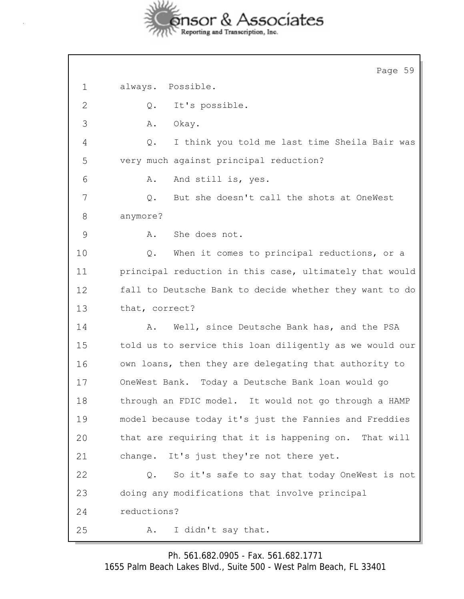

|               | Page 59                                                 |
|---------------|---------------------------------------------------------|
| 1             | always. Possible.                                       |
| 2             | It's possible.<br>Q.                                    |
| 3             | Okay.<br>Α.                                             |
| 4             | I think you told me last time Sheila Bair was<br>Q.     |
| 5             | very much against principal reduction?                  |
| 6             | Α.<br>And still is, yes.                                |
| 7             | But she doesn't call the shots at OneWest<br>Q.         |
| 8             | anymore?                                                |
| $\mathcal{G}$ | She does not.<br>Α.                                     |
| 10            | When it comes to principal reductions, or a<br>Q.       |
| 11            | principal reduction in this case, ultimately that would |
| 12            | fall to Deutsche Bank to decide whether they want to do |
| 13            | that, correct?                                          |
| 14            | Well, since Deutsche Bank has, and the PSA<br>Α.        |
| 15            | told us to service this loan diligently as we would our |
| 16            | own loans, then they are delegating that authority to   |
| 17            | OneWest Bank. Today a Deutsche Bank loan would go       |
| 18            | through an FDIC model. It would not go through a HAMP   |
| 19            | model because today it's just the Fannies and Freddies  |
| 20            | that are requiring that it is happening on. That will   |
| 21            | change. It's just they're not there yet.                |
| 22            | So it's safe to say that today OneWest is not<br>Q.     |
| 23            | doing any modifications that involve principal          |
| 24            | reductions?                                             |
| 25            | I didn't say that.<br>Α.                                |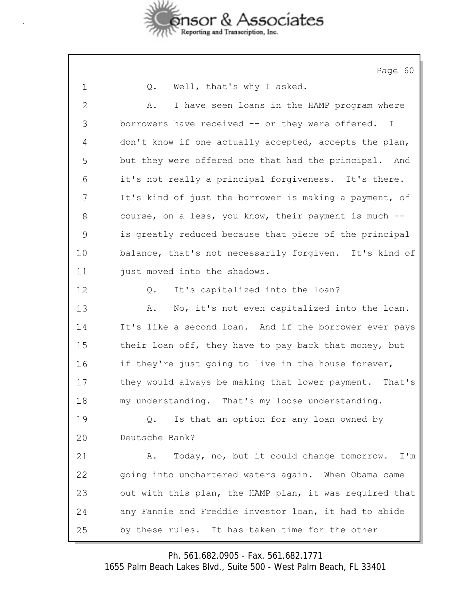

Page 60

1 Q. Well, that's why I asked.

2 A. I have seen loans in the HAMP program where 3 borrowers have received -- or they were offered. I 4 don't know if one actually accepted, accepts the plan, 5 but they were offered one that had the principal. And 6 it's not really a principal forgiveness. It's there. 7 It's kind of just the borrower is making a payment, of 8 course, on a less, you know, their payment is much -- 9 is greatly reduced because that piece of the principal 10 balance, that's not necessarily forgiven. It's kind of 11 just moved into the shadows. 12 Q. It's capitalized into the loan? 13 A. No, it's not even capitalized into the loan. 14 It's like a second loan. And if the borrower ever pays 15 their loan off, they have to pay back that money, but 16 if they're just going to live in the house forever, 17 they would always be making that lower payment. That's 18 my understanding. That's my loose understanding. 19 Q. Is that an option for any loan owned by 20 Deutsche Bank? 21 A. Today, no, but it could change tomorrow. I'm 22 going into unchartered waters again. When Obama came 23 out with this plan, the HAMP plan, it was required that 24 any Fannie and Freddie investor loan, it had to abide 25 by these rules. It has taken time for the other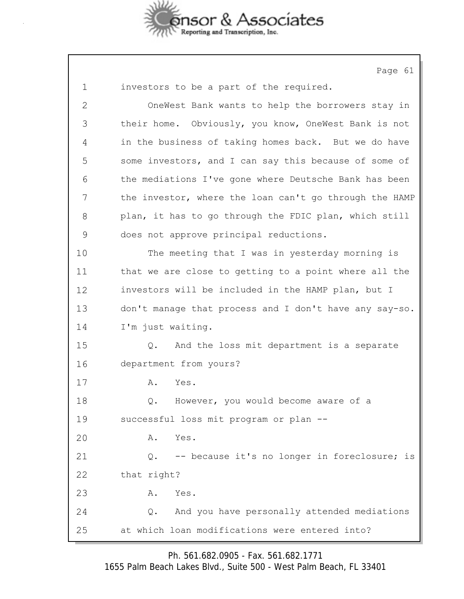

Page 61 1 investors to be a part of the required. 2 OneWest Bank wants to help the borrowers stay in 3 their home. Obviously, you know, OneWest Bank is not 4 in the business of taking homes back. But we do have 5 some investors, and I can say this because of some of 6 the mediations I've gone where Deutsche Bank has been 7 the investor, where the loan can't go through the HAMP 8 plan, it has to go through the FDIC plan, which still 9 does not approve principal reductions. 10 The meeting that I was in yesterday morning is 11 that we are close to getting to a point where all the 12 investors will be included in the HAMP plan, but I 13 don't manage that process and I don't have any say-so. 14 I'm just waiting. 15 Q. And the loss mit department is a separate 16 department from yours? 17 A. Yes. 18 0. However, you would become aware of a 19 successful loss mit program or plan -- 20 A. Yes. 21 Q. -- because it's no longer in foreclosure; is 22 that right? 23 A. Yes. 24 Q. And you have personally attended mediations 25 at which loan modifications were entered into?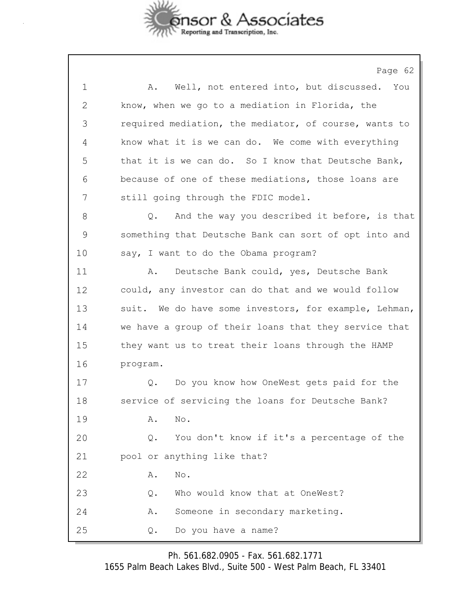

Page 62

| 1            | Well, not entered into, but discussed. You<br>Α.      |
|--------------|-------------------------------------------------------|
| $\mathbf{2}$ | know, when we go to a mediation in Florida, the       |
| 3            | required mediation, the mediator, of course, wants to |
| 4            | know what it is we can do. We come with everything    |
| 5            | that it is we can do. So I know that Deutsche Bank,   |
| 6            | because of one of these mediations, those loans are   |
| 7            | still going through the FDIC model.                   |
| 8            | And the way you described it before, is that<br>Q.    |
| 9            | something that Deutsche Bank can sort of opt into and |
| 10           | say, I want to do the Obama program?                  |
| 11           | Deutsche Bank could, yes, Deutsche Bank<br>Α.         |
| 12           | could, any investor can do that and we would follow   |
| 13           | suit. We do have some investors, for example, Lehman, |
| 14           | we have a group of their loans that they service that |
| 15           | they want us to treat their loans through the HAMP    |
| 16           | program.                                              |
| 17           | Do you know how OneWest gets paid for the<br>Q.       |
| 18           | service of servicing the loans for Deutsche Bank?     |
| 19           | No.<br>Α.                                             |
| 20           | You don't know if it's a percentage of the<br>Q.      |
| 21           | pool or anything like that?                           |
| 22           | No.<br>Α.                                             |
| 23           | Who would know that at OneWest?<br>Q.                 |
| 24           | Someone in secondary marketing.<br>Α.                 |
| 25           | Do you have a name?<br>Q.                             |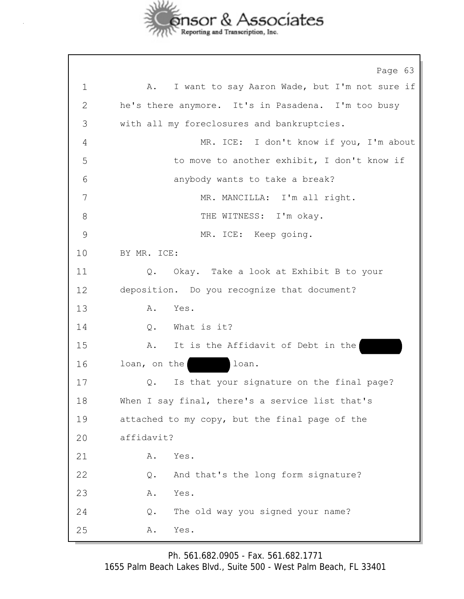

Page 63 1 A. I want to say Aaron Wade, but I'm not sure if 2 he's there anymore. It's in Pasadena. I'm too busy 3 with all my foreclosures and bankruptcies. 4 MR. ICE: I don't know if you, I'm about 5 to move to another exhibit, I don't know if 6 anybody wants to take a break? 7 MR. MANCILLA: I'm all right. 8 THE WITNESS: I'm okay. 9 MR. ICE: Keep going. 10 BY MR. ICE: 11 Q. Okay. Take a look at Exhibit B to your 12 deposition. Do you recognize that document? 13 A. Yes. 14 Q. What is it? 15 A. It is the Affidavit of Debt in the 16 loan, on the loan. 17 Q. Is that your signature on the final page? 18 When I say final, there's a service list that's 19 attached to my copy, but the final page of the 20 affidavit? 21 A. Yes. 22 Q. And that's the long form signature? 23 A. Yes. 24 Q. The old way you signed your name? 25 A. Yes.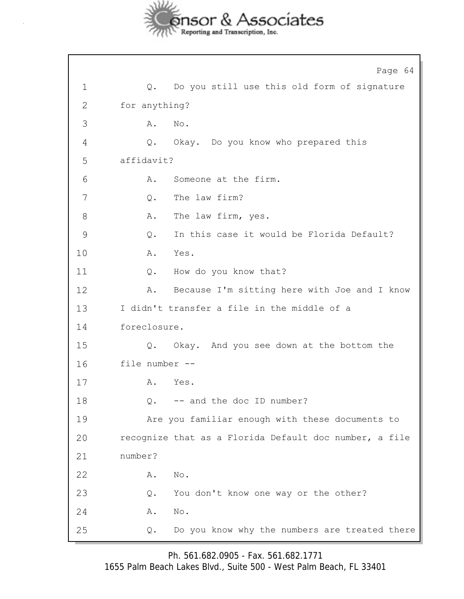

Page 64 1 Q. Do you still use this old form of signature 2 for anything? 3 A. No. 4 Q. Okay. Do you know who prepared this 5 affidavit? 6 A. Someone at the firm. 7 Q. The law firm? 8 A. The law firm, yes. 9 Q. In this case it would be Florida Default? 10 A. Yes. 11 Q. How do you know that? 12 A. Because I'm sitting here with Joe and I know 13 I didn't transfer a file in the middle of a 14 foreclosure. 15 Q. Okay. And you see down at the bottom the 16 file number -- 17 A. Yes. 18 0. -- and the doc ID number? 19 Are you familiar enough with these documents to 20 recognize that as a Florida Default doc number, a file 21 number? 22 A. No. 23 Q. You don't know one way or the other? 24 A. No. 25 Q. Do you know why the numbers are treated there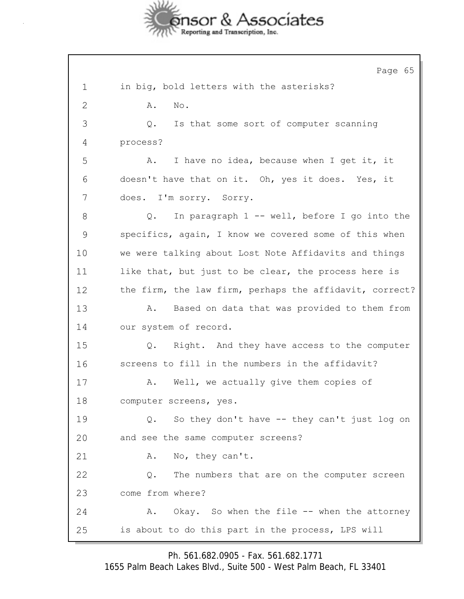

Page 65 1 in big, bold letters with the asterisks? 2 **A.** No. 3 Q. Is that some sort of computer scanning 4 process? 5 A. I have no idea, because when I get it, it 6 doesn't have that on it. Oh, yes it does. Yes, it 7 does. I'm sorry. Sorry. 8 Q. In paragraph 1 -- well, before I go into the 9 specifics, again, I know we covered some of this when 10 we were talking about Lost Note Affidavits and things 11 like that, but just to be clear, the process here is 12 the firm, the law firm, perhaps the affidavit, correct? 13 A. Based on data that was provided to them from 14 our system of record. 15 Q. Right. And they have access to the computer 16 screens to fill in the numbers in the affidavit? 17 A. Well, we actually give them copies of 18 computer screens, yes. 19 Q. So they don't have -- they can't just log on 20 and see the same computer screens? 21 A. No, they can't. 22 Q. The numbers that are on the computer screen 23 come from where? 24 A. Okay. So when the file -- when the attorney 25 is about to do this part in the process, LPS will

Ph. 561.682.0905 - Fax. 561.682.1771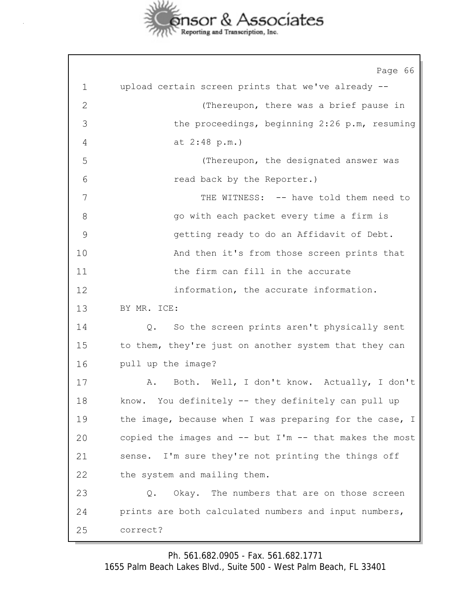

Page 66 1 upload certain screen prints that we've already -- 2 (Thereupon, there was a brief pause in 3 the proceedings, beginning 2:26 p.m, resuming 4 at 2:48 p.m.) 5 (Thereupon, the designated answer was 6 read back by the Reporter.) 7 THE WITNESS: -- have told them need to 8 go with each packet every time a firm is 9 getting ready to do an Affidavit of Debt. 10 And then it's from those screen prints that 11 the firm can fill in the accurate 12 information, the accurate information. 13 BY MR. ICE: 14 Q. So the screen prints aren't physically sent 15 to them, they're just on another system that they can 16 pull up the image? 17 A. Both. Well, I don't know. Actually, I don't 18 know. You definitely -- they definitely can pull up 19 the image, because when I was preparing for the case, I 20 copied the images and -- but I'm -- that makes the most 21 sense. I'm sure they're not printing the things off 22 the system and mailing them. 23 Q. Okay. The numbers that are on those screen 24 prints are both calculated numbers and input numbers, 25 correct?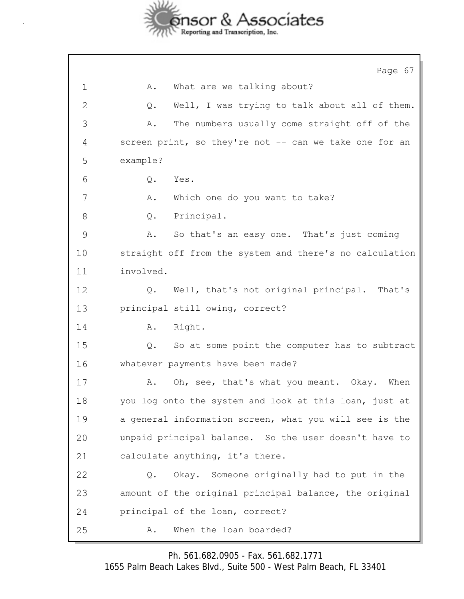

Page 67 1 A. What are we talking about? 2 Q. Well, I was trying to talk about all of them. 3 A. The numbers usually come straight off of the 4 screen print, so they're not -- can we take one for an 5 example? 6 Q. Yes. 7 A. Which one do you want to take? 8 Q. Principal. 9 A. So that's an easy one. That's just coming 10 straight off from the system and there's no calculation 11 involved. 12 Q. Well, that's not original principal. That's 13 principal still owing, correct? 14 A. Right. 15 Q. So at some point the computer has to subtract 16 whatever payments have been made? 17 A. Oh, see, that's what you meant. Okay. When 18 you log onto the system and look at this loan, just at 19 a general information screen, what you will see is the 20 unpaid principal balance. So the user doesn't have to 21 calculate anything, it's there. 22 Q. Okay. Someone originally had to put in the 23 amount of the original principal balance, the original 24 principal of the loan, correct? 25 A. When the loan boarded?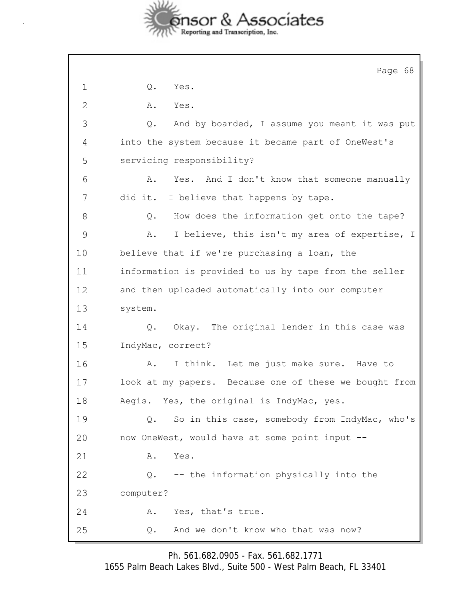

|              | Page 68                                                |
|--------------|--------------------------------------------------------|
| 1            | $Q$ .<br>Yes.                                          |
| $\mathbf{2}$ | Α.<br>Yes.                                             |
| 3            | And by boarded, I assume you meant it was put<br>Q.    |
| 4            | into the system because it became part of OneWest's    |
| 5            | servicing responsibility?                              |
| 6            | Yes. And I don't know that someone manually<br>Α.      |
| 7            | did it. I believe that happens by tape.                |
| 8            | How does the information get onto the tape?<br>Q.      |
| 9            | I believe, this isn't my area of expertise, I<br>Α.    |
| 10           | believe that if we're purchasing a loan, the           |
| 11           | information is provided to us by tape from the seller  |
| 12           | and then uploaded automatically into our computer      |
| 13           | system.                                                |
| 14           | Okay. The original lender in this case was<br>Q.       |
| 15           | IndyMac, correct?                                      |
| 16           | I think. Let me just make sure. Have to<br>Α.          |
| 17           | look at my papers. Because one of these we bought from |
| 18           | Aegis. Yes, the original is IndyMac, yes.              |
| 19           | So in this case, somebody from IndyMac, who's<br>Q.    |
| 20           | now OneWest, would have at some point input --         |
| 21           | Yes.<br>Α.                                             |
| 22           | -- the information physically into the<br>Q.           |
| 23           | computer?                                              |
| 24           | Yes, that's true.<br>Α.                                |
| 25           | And we don't know who that was now?<br>Q.              |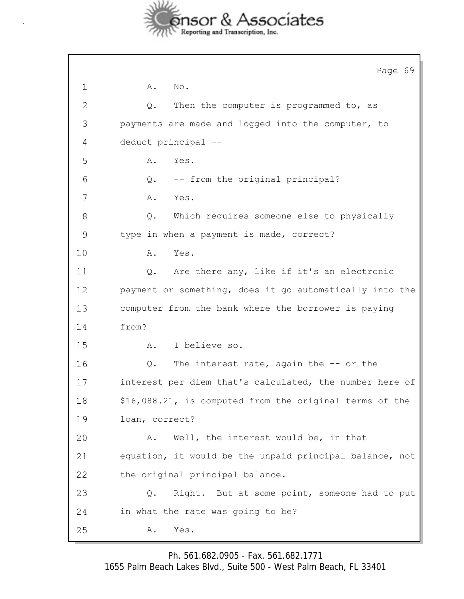

Page 69 1 **A.** No. 2 Q. Then the computer is programmed to, as 3 payments are made and logged into the computer, to 4 deduct principal -- 5 A. Yes. 6 Q. -- from the original principal? 7 A. Yes. 8 Q. Which requires someone else to physically 9 type in when a payment is made, correct? 10 A. Yes. 11 Q. Are there any, like if it's an electronic 12 payment or something, does it go automatically into the 13 computer from the bank where the borrower is paying 14 from? 15 A. I believe so. 16 Q. The interest rate, again the -- or the 17 interest per diem that's calculated, the number here of 18 \$16,088.21, is computed from the original terms of the 19 loan, correct? 20 A. Well, the interest would be, in that 21 equation, it would be the unpaid principal balance, not 22 the original principal balance. 23 Q. Right. But at some point, someone had to put 24 in what the rate was going to be? 25 A. Yes.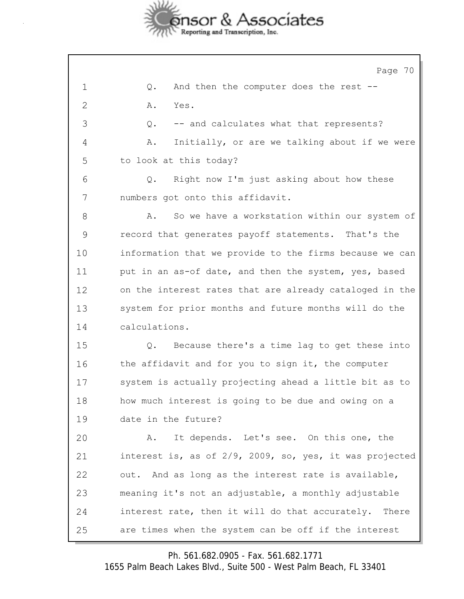

Page 70 1 Q. And then the computer does the rest -- 2 A. Yes. 3 Q. -- and calculates what that represents? 4 A. Initially, or are we talking about if we were 5 to look at this today? 6 Q. Right now I'm just asking about how these 7 numbers got onto this affidavit. 8 A. So we have a workstation within our system of 9 record that generates payoff statements. That's the 10 information that we provide to the firms because we can 11 put in an as-of date, and then the system, yes, based 12 on the interest rates that are already cataloged in the 13 system for prior months and future months will do the 14 calculations. 15 Q. Because there's a time lag to get these into 16 the affidavit and for you to sign it, the computer 17 system is actually projecting ahead a little bit as to 18 how much interest is going to be due and owing on a 19 date in the future? 20 A. It depends. Let's see. On this one, the 21 interest is, as of 2/9, 2009, so, yes, it was projected 22 out. And as long as the interest rate is available, 23 meaning it's not an adjustable, a monthly adjustable 24 interest rate, then it will do that accurately. There 25 are times when the system can be off if the interest

Ph. 561.682.0905 - Fax. 561.682.1771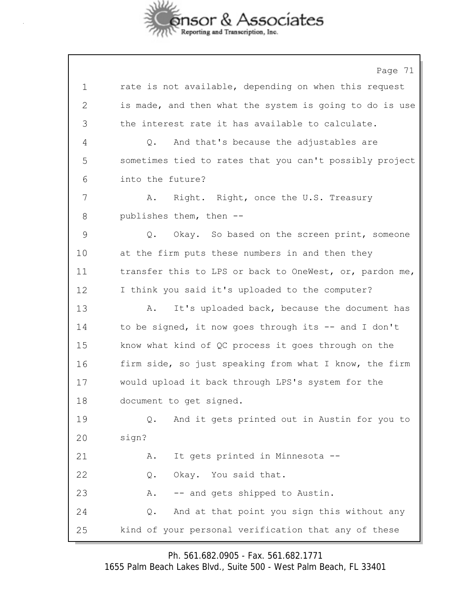

Page 71 1 rate is not available, depending on when this request 2 is made, and then what the system is going to do is use 3 the interest rate it has available to calculate. 4 Q. And that's because the adjustables are 5 sometimes tied to rates that you can't possibly project 6 into the future? 7 A. Right. Right, once the U.S. Treasury 8 publishes them, then -- 9 Q. Okay. So based on the screen print, someone 10 at the firm puts these numbers in and then they 11 transfer this to LPS or back to OneWest, or, pardon me, 12 I think you said it's uploaded to the computer? 13 A. It's uploaded back, because the document has 14 to be signed, it now goes through its -- and I don't 15 know what kind of QC process it goes through on the 16 firm side, so just speaking from what I know, the firm 17 would upload it back through LPS's system for the 18 document to get signed. 19 Q. And it gets printed out in Austin for you to 20 sign? 21 A. It gets printed in Minnesota -- 22 Q. Okay. You said that. 23 A. -- and gets shipped to Austin. 24 Q. And at that point you sign this without any 25 kind of your personal verification that any of these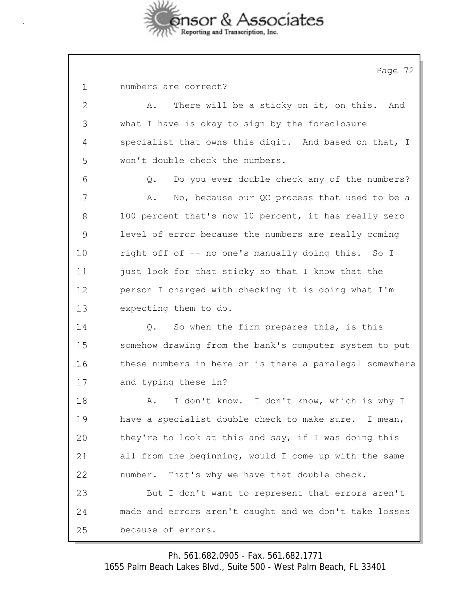

Page 72

|  | numbers are correct? |
|--|----------------------|
|  |                      |

2 A. There will be a sticky on it, on this. And 3 what I have is okay to sign by the foreclosure 4 specialist that owns this digit. And based on that, I 5 won't double check the numbers.

6 Q. Do you ever double check any of the numbers? 7 A. No, because our QC process that used to be a 8 100 percent that's now 10 percent, it has really zero 9 level of error because the numbers are really coming 10 right off of -- no one's manually doing this. So I 11 just look for that sticky so that I know that the 12 person I charged with checking it is doing what I'm 13 expecting them to do.

14 Q. So when the firm prepares this, is this 15 somehow drawing from the bank's computer system to put 16 these numbers in here or is there a paralegal somewhere 17 and typing these in?

18 A. I don't know. I don't know, which is why I 19 have a specialist double check to make sure. I mean, 20 they're to look at this and say, if I was doing this 21 all from the beginning, would I come up with the same 22 number. That's why we have that double check. 23 But I don't want to represent that errors aren't 24 made and errors aren't caught and we don't take losses 25 because of errors.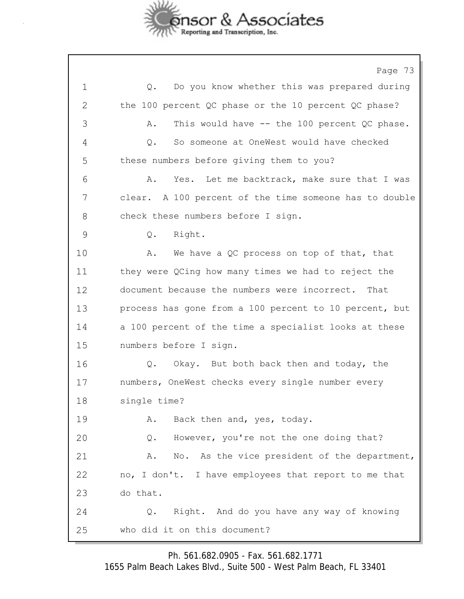

Page 73 1 Q. Do you know whether this was prepared during 2 the 100 percent QC phase or the 10 percent QC phase? 3 A. This would have -- the 100 percent QC phase. 4 Q. So someone at OneWest would have checked 5 these numbers before giving them to you? 6 A. Yes. Let me backtrack, make sure that I was 7 clear. A 100 percent of the time someone has to double 8 check these numbers before I sign. 9 Q. Right. 10 A. We have a QC process on top of that, that 11 they were QCing how many times we had to reject the 12 document because the numbers were incorrect. That 13 process has gone from a 100 percent to 10 percent, but 14 a 100 percent of the time a specialist looks at these 15 numbers before I sign. 16 Q. Okay. But both back then and today, the 17 numbers, OneWest checks every single number every 18 single time? 19 A. Back then and, yes, today. 20 Q. However, you're not the one doing that? 21 A. No. As the vice president of the department, 22 no, I don't. I have employees that report to me that 23 do that. 24 Q. Right. And do you have any way of knowing 25 who did it on this document?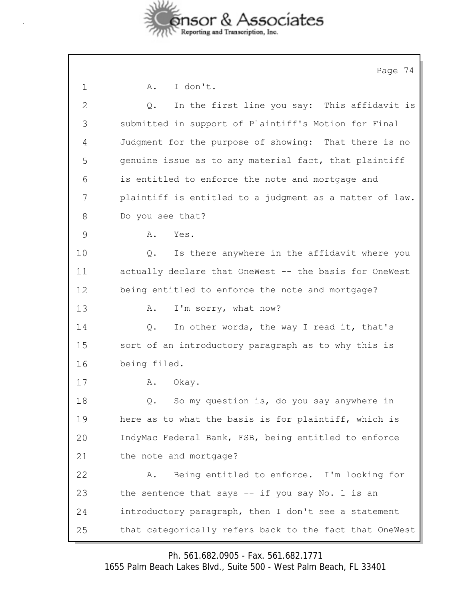

|              | Page 74                                                 |
|--------------|---------------------------------------------------------|
| $\mathbf 1$  | I don't.<br>A.                                          |
| $\mathbf{2}$ | In the first line you say: This affidavit is<br>Q.      |
| 3            | submitted in support of Plaintiff's Motion for Final    |
| 4            | Judgment for the purpose of showing: That there is no   |
| 5            | genuine issue as to any material fact, that plaintiff   |
| 6            | is entitled to enforce the note and mortgage and        |
| 7            | plaintiff is entitled to a judgment as a matter of law. |
| 8            | Do you see that?                                        |
| 9            | Yes.<br>Α.                                              |
| 10           | Is there anywhere in the affidavit where you<br>Q.      |
| 11           | actually declare that OneWest -- the basis for OneWest  |
| 12           | being entitled to enforce the note and mortgage?        |
| 13           | I'm sorry, what now?<br>Α.                              |
| 14           | In other words, the way I read it, that's<br>Q.         |
| 15           | sort of an introductory paragraph as to why this is     |
| 16           | being filed.                                            |
| 17           | Okay.<br>Α.                                             |
| 18           | So my question is, do you say anywhere in<br>Q.         |
| 19           | here as to what the basis is for plaintiff, which is    |
| 20           | IndyMac Federal Bank, FSB, being entitled to enforce    |
| 21           | the note and mortgage?                                  |
| 22           | Being entitled to enforce. I'm looking for<br>Α.        |
| 23           | the sentence that says $-$ if you say No. 1 is an       |
| 24           | introductory paragraph, then I don't see a statement    |
| 25           | that categorically refers back to the fact that OneWest |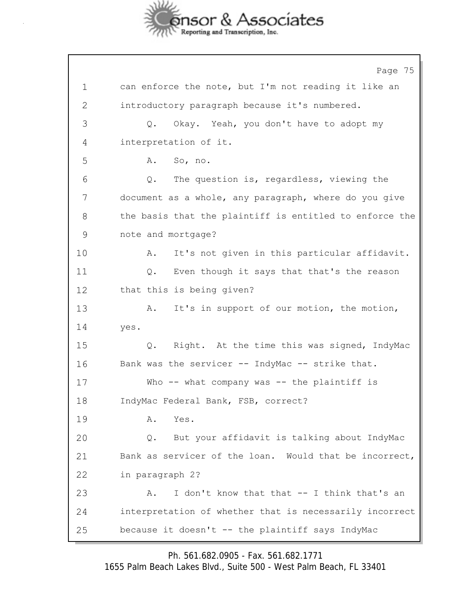

Page 75 1 can enforce the note, but I'm not reading it like an 2 introductory paragraph because it's numbered. 3 Q. Okay. Yeah, you don't have to adopt my 4 interpretation of it. 5 A. So, no. 6 Q. The question is, regardless, viewing the 7 document as a whole, any paragraph, where do you give 8 the basis that the plaintiff is entitled to enforce the 9 note and mortgage? 10 A. It's not given in this particular affidavit. 11 Q. Even though it says that that's the reason 12 that this is being given? 13 A. It's in support of our motion, the motion, 14 yes. 15 Q. Right. At the time this was signed, IndyMac 16 Bank was the servicer -- IndyMac -- strike that. 17 Who -- what company was -- the plaintiff is 18 IndyMac Federal Bank, FSB, correct? 19 A. Yes. 20 Q. But your affidavit is talking about IndyMac 21 Bank as servicer of the loan. Would that be incorrect, 22 in paragraph 2? 23 A. I don't know that that -- I think that's an 24 interpretation of whether that is necessarily incorrect 25 because it doesn't -- the plaintiff says IndyMac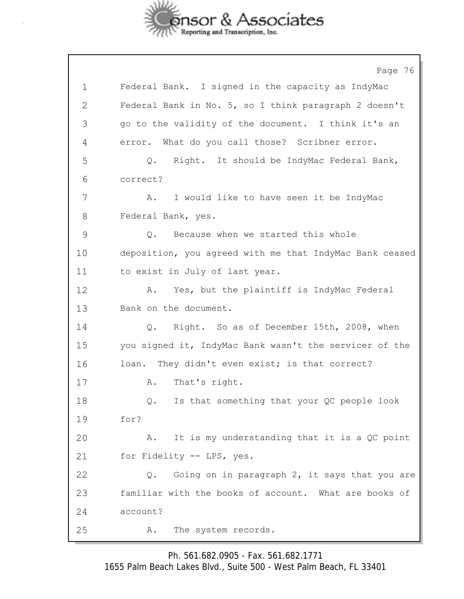

Page 76 1 Federal Bank. I signed in the capacity as IndyMac 2 Federal Bank in No. 5, so I think paragraph 2 doesn't 3 go to the validity of the document. I think it's an 4 error. What do you call those? Scribner error. 5 Q. Right. It should be IndyMac Federal Bank, 6 correct? 7 A. I would like to have seen it be IndyMac 8 Federal Bank, yes. 9 Q. Because when we started this whole 10 deposition, you agreed with me that IndyMac Bank ceased 11 to exist in July of last year. 12 A. Yes, but the plaintiff is IndyMac Federal 13 Bank on the document. 14 Q. Right. So as of December 15th, 2008, when 15 you signed it, IndyMac Bank wasn't the servicer of the 16 loan. They didn't even exist; is that correct? 17 A. That's right. 18 Q. Is that something that your QC people look 19 for? 20 A. It is my understanding that it is a QC point 21 for Fidelity -- LPS, yes. 22 Q. Going on in paragraph 2, it says that you are 23 familiar with the books of account. What are books of 24 account? 25 A. The system records.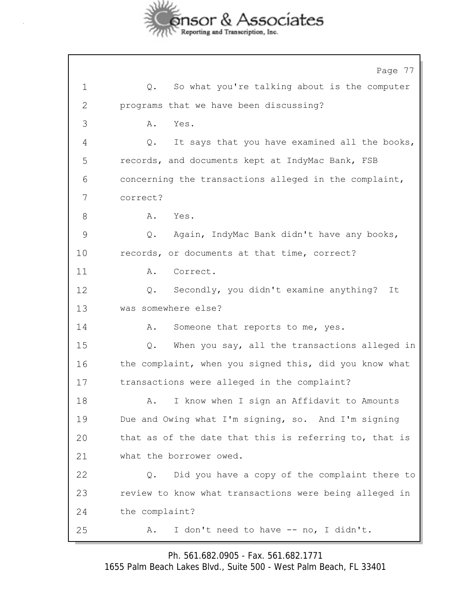

|              | Page 77                                                |
|--------------|--------------------------------------------------------|
| $\mathbf 1$  | So what you're talking about is the computer<br>Q.     |
| $\mathbf{2}$ | programs that we have been discussing?                 |
| 3            | Α.<br>Yes.                                             |
| 4            | It says that you have examined all the books,<br>Q.    |
| 5            | records, and documents kept at IndyMac Bank, FSB       |
| 6            | concerning the transactions alleged in the complaint,  |
| 7            | correct?                                               |
| 8            | Yes.<br>Α.                                             |
| 9            | Again, IndyMac Bank didn't have any books,<br>Q.       |
| 10           | records, or documents at that time, correct?           |
| 11           | Α.<br>Correct.                                         |
| 12           | Secondly, you didn't examine anything?<br>Q.<br>It     |
| 13           | was somewhere else?                                    |
| 14           | Someone that reports to me, yes.<br>Α.                 |
| 15           | When you say, all the transactions alleged in<br>Q.    |
| 16           | the complaint, when you signed this, did you know what |
| 17           | transactions were alleged in the complaint?            |
| 18           | A. I know when I sign an Affidavit to Amounts          |
| 19           | Due and Owing what I'm signing, so. And I'm signing    |
| 20           | that as of the date that this is referring to, that is |
| 21           | what the borrower owed.                                |
| 22           | Did you have a copy of the complaint there to<br>Q.    |
| 23           | review to know what transactions were being alleged in |
| 24           | the complaint?                                         |
| 25           | I don't need to have -- no, I didn't.<br>Α.            |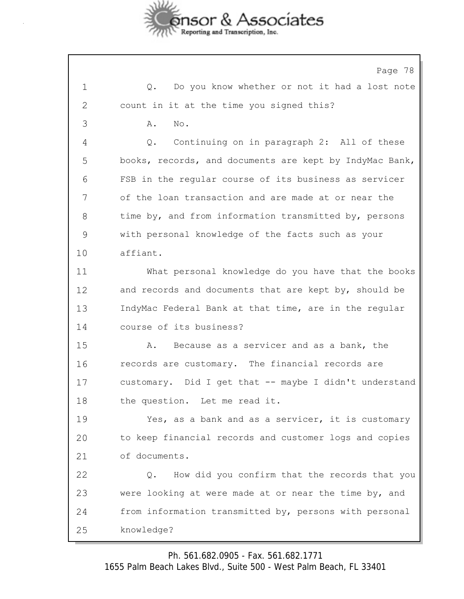

Page 78 1 Q. Do you know whether or not it had a lost note 2 count in it at the time you signed this? 3 A. No. 4 Q. Continuing on in paragraph 2: All of these 5 books, records, and documents are kept by IndyMac Bank, 6 FSB in the regular course of its business as servicer 7 of the loan transaction and are made at or near the 8 time by, and from information transmitted by, persons 9 with personal knowledge of the facts such as your 10 affiant. 11 What personal knowledge do you have that the books 12 and records and documents that are kept by, should be 13 IndyMac Federal Bank at that time, are in the regular 14 course of its business? 15 A. Because as a servicer and as a bank, the 16 records are customary. The financial records are 17 customary. Did I get that -- maybe I didn't understand 18 the question. Let me read it. 19 Yes, as a bank and as a servicer, it is customary 20 to keep financial records and customer logs and copies 21 of documents. 22 Q. How did you confirm that the records that you 23 were looking at were made at or near the time by, and 24 from information transmitted by, persons with personal 25 knowledge?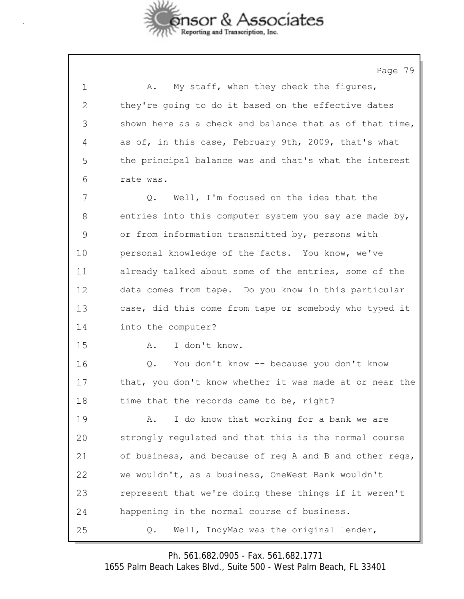

Page 79 1 A. My staff, when they check the figures, 2 they're going to do it based on the effective dates 3 shown here as a check and balance that as of that time, 4 as of, in this case, February 9th, 2009, that's what 5 the principal balance was and that's what the interest 6 rate was. 7 Q. Well, I'm focused on the idea that the 8 entries into this computer system you say are made by, 9 or from information transmitted by, persons with 10 personal knowledge of the facts. You know, we've 11 already talked about some of the entries, some of the 12 data comes from tape. Do you know in this particular 13 case, did this come from tape or somebody who typed it 14 into the computer? 15 A. I don't know. 16 Q. You don't know -- because you don't know 17 that, you don't know whether it was made at or near the 18 time that the records came to be, right? 19 A. I do know that working for a bank we are 20 strongly regulated and that this is the normal course 21 of business, and because of reg A and B and other regs, 22 we wouldn't, as a business, OneWest Bank wouldn't 23 represent that we're doing these things if it weren't 24 happening in the normal course of business. 25 Q. Well, IndyMac was the original lender,

Ph. 561.682.0905 - Fax. 561.682.1771

1655 Palm Beach Lakes Blvd., Suite 500 - West Palm Beach, FL 33401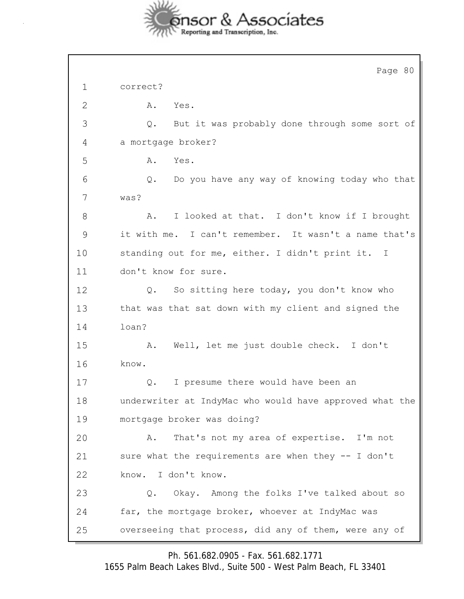

|             | Page 80                                                 |
|-------------|---------------------------------------------------------|
| $\mathbf 1$ | correct?                                                |
| 2           | Α.<br>Yes.                                              |
| 3           | But it was probably done through some sort of<br>Q.     |
| 4           | a mortgage broker?                                      |
| 5           | Yes.<br>Α.                                              |
| 6           | Do you have any way of knowing today who that<br>Q.     |
| 7           | was?                                                    |
| 8           | I looked at that. I don't know if I brought<br>Α.       |
| 9           | it with me. I can't remember. It wasn't a name that's   |
| 10          | standing out for me, either. I didn't print it. I       |
| 11          | don't know for sure.                                    |
| 12          | So sitting here today, you don't know who<br>Q.         |
| 13          | that was that sat down with my client and signed the    |
| 14          | loan?                                                   |
| 15          | Well, let me just double check. I don't<br>Α.           |
| 16          | know.                                                   |
| 17          | I presume there would have been an<br>Q.                |
| 18          | underwriter at IndyMac who would have approved what the |
| 19          | mortgage broker was doing?                              |
| 20          | That's not my area of expertise. I'm not<br>Α.          |
| 21          | sure what the requirements are when they -- I don't     |
| 22          | know. I don't know.                                     |
| 23          | Okay. Among the folks I've talked about so<br>Q.        |
| 24          | far, the mortgage broker, whoever at IndyMac was        |
| 25          | overseeing that process, did any of them, were any of   |

Ph. 561.682.0905 - Fax. 561.682.1771

1655 Palm Beach Lakes Blvd., Suite 500 - West Palm Beach, FL 33401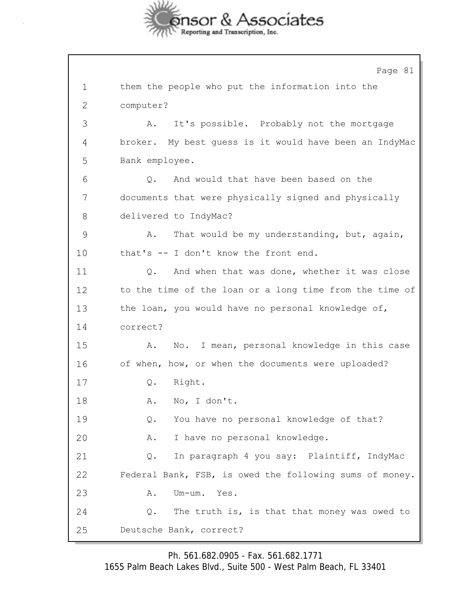

Page 81 1 them the people who put the information into the 2 computer? 3 A. It's possible. Probably not the mortgage 4 broker. My best guess is it would have been an IndyMac 5 Bank employee. 6 Q. And would that have been based on the 7 documents that were physically signed and physically 8 delivered to IndyMac? 9 A. That would be my understanding, but, again, 10 that's -- I don't know the front end. 11 Q. And when that was done, whether it was close 12 to the time of the loan or a long time from the time of 13 the loan, you would have no personal knowledge of, 14 correct? 15 A. No. I mean, personal knowledge in this case 16 of when, how, or when the documents were uploaded? 17 Q. Right. 18 A. No, I don't. 19 Q. You have no personal knowledge of that? 20 A. I have no personal knowledge. 21 Q. In paragraph 4 you say: Plaintiff, IndyMac 22 Federal Bank, FSB, is owed the following sums of money. 23 A. Um-um. Yes. 24 Q. The truth is, is that that money was owed to 25 Deutsche Bank, correct?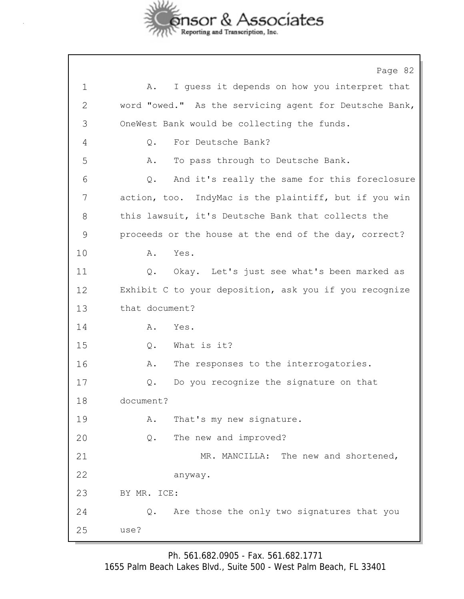

Page 82 1 A. I guess it depends on how you interpret that 2 word "owed." As the servicing agent for Deutsche Bank, 3 OneWest Bank would be collecting the funds. 4 Q. For Deutsche Bank? 5 A. To pass through to Deutsche Bank. 6 Q. And it's really the same for this foreclosure 7 action, too. IndyMac is the plaintiff, but if you win 8 this lawsuit, it's Deutsche Bank that collects the 9 proceeds or the house at the end of the day, correct? 10 A. Yes. 11 Q. Okay. Let's just see what's been marked as 12 Exhibit C to your deposition, ask you if you recognize 13 that document? 14 A. Yes. 15 Q. What is it? 16 A. The responses to the interrogatories. 17 Q. Do you recognize the signature on that 18 document? 19 A. That's my new signature. 20 Q. The new and improved? 21 MR. MANCILLA: The new and shortened, 22 anyway. 23 BY MR. ICE: 24 Q. Are those the only two signatures that you 25 use?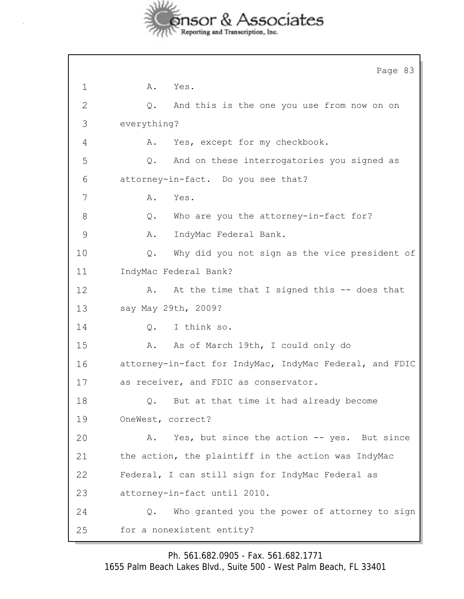

|              | Page 83                                                 |  |  |
|--------------|---------------------------------------------------------|--|--|
| $\mathbf 1$  | A. Yes.                                                 |  |  |
| $\mathbf{2}$ | And this is the one you use from now on on<br>Q.        |  |  |
| 3            | everything?                                             |  |  |
| 4            | Yes, except for my checkbook.<br>Α.                     |  |  |
| 5            | And on these interrogatories you signed as<br>Q.        |  |  |
| 6            | attorney-in-fact. Do you see that?                      |  |  |
| 7            | Α.<br>Yes.                                              |  |  |
| 8            | Who are you the attorney-in-fact for?<br>$Q$ .          |  |  |
| 9            | IndyMac Federal Bank.<br>Α.                             |  |  |
| 10           | Why did you not sign as the vice president of<br>$Q$ .  |  |  |
| 11           | IndyMac Federal Bank?                                   |  |  |
| 12           | At the time that I signed this -- does that<br>Α.       |  |  |
| 13           | say May 29th, 2009?                                     |  |  |
| 14           | I think so.<br>Q.                                       |  |  |
| 15           | As of March 19th, I could only do<br>Α.                 |  |  |
| 16           | attorney-in-fact for IndyMac, IndyMac Federal, and FDIC |  |  |
| 17           | as receiver, and FDIC as conservator.                   |  |  |
| 18           | But at that time it had already become<br>Q.            |  |  |
| 19           | OneWest, correct?                                       |  |  |
| 20           | Yes, but since the action -- yes. But since<br>Α.       |  |  |
| 21           | the action, the plaintiff in the action was IndyMac     |  |  |
| 22           | Federal, I can still sign for IndyMac Federal as        |  |  |
| 23           | attorney-in-fact until 2010.                            |  |  |
| 24           | Who granted you the power of attorney to sign<br>Q.     |  |  |
| 25           | for a nonexistent entity?                               |  |  |